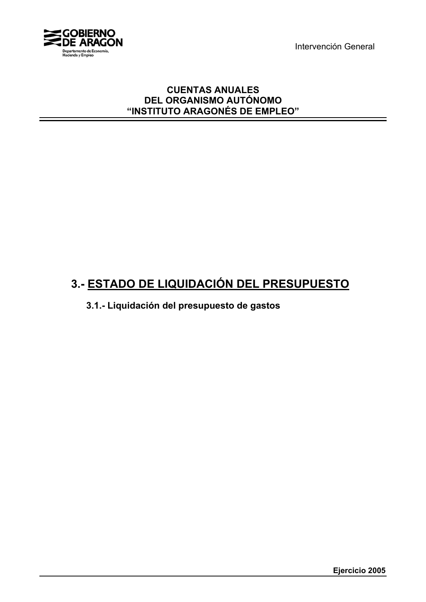Intervención General



### **CUENTAS ANUALES DEL ORGANISMO AUTÓNOMO "INSTITUTO ARAGONÉS DE EMPLEO"**

# **3.- ESTADO DE LIQUIDACIÓN DEL PRESUPUESTO**

**3.1.- Liquidación del presupuesto de gastos**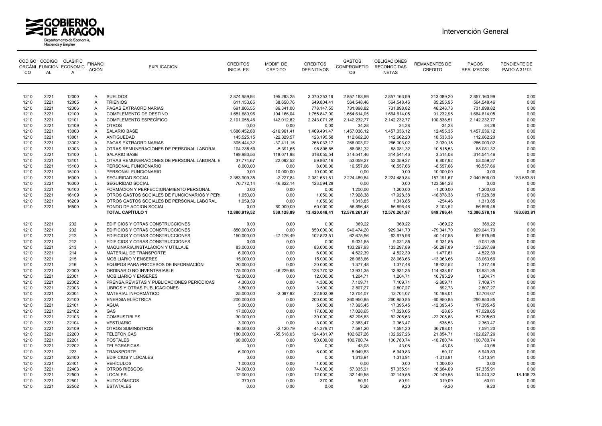



| <b>CO</b>    | <b>AL</b>    | CODIGO CÓDIGO CLASIFIC<br>ORGÁNI FUNCION ECONOMIC<br>A | <b>FINANCI</b><br><b>ACIÓN</b> | <b>EXPLICACION</b>                           | <b>CREDITOS</b><br><b>INICIALES</b> | MODIF DE<br>CREDITO         | <b>CREDITOS</b><br><b>DEFINITIVOS</b> | <b>GASTOS</b><br><b>COMPROMETID</b><br>OS | <b>OBLIGACIONES</b><br><b>RECONOCIDAS</b><br><b>NETAS</b> | <b>REMANENTES DE</b><br><b>CREDITO</b> | PAGOS<br><b>REALIZADOS</b> | PENDIENTE DE<br>PAGO A 31/12 |
|--------------|--------------|--------------------------------------------------------|--------------------------------|----------------------------------------------|-------------------------------------|-----------------------------|---------------------------------------|-------------------------------------------|-----------------------------------------------------------|----------------------------------------|----------------------------|------------------------------|
| 1210         | 3221         | 12000                                                  | $\mathsf{A}$                   | <b>SUELDOS</b>                               | 2.874.959.94                        | 195.293.25                  | 3.070.253.19                          | 2.857.163.99                              | 2.857.163.99                                              | 213.089.20                             | 2.857.163.99               | 0.00                         |
| 1210         | 3221         | 12005                                                  | A                              | <b>TRIENIOS</b>                              | 611.153,65                          | 38.650,76                   | 649.804,41                            | 564.548,46                                | 564.548,46                                                | 85.255,95                              | 564.548,46                 | 0,00                         |
| 1210         | 3221         | 12006                                                  | $\overline{A}$                 | PAGAS EXTRAORDINARIAS                        | 691.806,55                          | 86.341,00                   | 778.147,55                            | 731.898,82                                | 731.898,82                                                | 46.248,73                              | 731.898,82                 | 0,00                         |
| 1210         | 3221         | 12100                                                  | A                              | COMPLEMENTO DE DESTINO                       | 1.651.680,96                        | 104.166,04                  | 1.755.847,00                          | 1.664.614,05                              | 1.664.614,05                                              | 91.232,95                              | 1.664.614,05               | 0,00                         |
| 1210         | 3221         | 12101                                                  | A                              | <b>COMPLEMENTO ESPECÍFICO</b>                | 2.101.058,46                        | 142.012,82                  | 2.243.071,28                          | 2.142.232,77                              | 2.142.232,77                                              | 100.838,51                             | 2.142.232,77               | 0,00                         |
| 1210         | 3221         | 12109                                                  | $\overline{A}$                 | <b>OTROS</b>                                 | 0.00                                | 0.00                        | 0,00                                  | 34,28                                     | 34,28                                                     | $-34,28$                               | 34,28                      | 0.00                         |
| 1210         | 3221         | 13000                                                  | A                              | SALARIO BASE                                 | 1.686.452,88                        | $-216.961,41$               | 1.469.491,47                          | 1.457.036,12                              | 1.457.036,12                                              | 12.455,35                              | 1.457.036,12               | 0,00                         |
| 1210         | 3221         | 13001                                                  | $\overline{A}$                 | ANTIGUEDAD                                   | 145.525,15                          | $-22.329,57$                | 123.195,58                            | 112.662,20                                | 112.662,20                                                | 10.533,38                              | 112.662,20                 | 0,00                         |
| 1210         | 3221         | 13002                                                  | A                              | PAGAS EXTRAORDINARIAS                        | 305.444,32                          | $-37.411,15$                | 268.033,17                            | 266.003,02                                | 266.003,02                                                | 2.030,15                               | 266.003,02                 | 0,00                         |
| 1210         | 3221         | 13003                                                  | A                              | OTRAS REMUNERACIONES DE PERSONAL LABORAL     | 104.288,50                          | $-5.391,65$                 | 98.896,85                             | 88.081,32                                 | 88.081,32                                                 | 10.815,53                              | 88.081,32                  | 0,00                         |
| 1210         | 3221         | 13100                                                  | L                              | <b>SALARIO BASE</b>                          | 199.983,56                          | 118.071,98                  | 318.055.54                            | 314.541,46                                | 314.541,46                                                | 3.514,08                               | 314.541,46                 | 0.00                         |
| 1210         | 3221         | 13101                                                  | $\mathsf{L}$                   | OTRAS REMUNERACIONES DE PERSONAL LABORAL E   | 37.774,67                           | 22.092,52                   | 59.867,19                             | 53.059,27                                 | 53.059,27                                                 | 6.807,92                               | 53.059,27                  | 0,00                         |
| 1210         | 3221         | 15100                                                  | A                              | PERSONAL FUNCIONARIO                         | 8.000,00                            | 0,00                        | 8.000,00                              | 16.557,66                                 | 16.557,66                                                 | $-8.557,66$                            | 16.557,66                  | 0,00                         |
| 1210         | 3221         | 15100                                                  | L                              | PERSONAL FUNCIONARIO                         | 0,00                                | 10.000,00                   | 10.000,00                             | 0,00                                      | 0,00                                                      | 10.000,00                              | 0,00                       | 0,00                         |
| 1210         | 3221         | 16000                                                  | A                              | SEGURIDAD SOCIAL                             | 2.383.909,35                        | $-2.227,84$                 | 2.381.681,51                          | 2.224.489,84                              | 2.224.489,84                                              | 157.191,67                             | 2.040.806,03               | 183.683,81                   |
| 1210         | 3221         | 16000                                                  | L                              | SEGURIDAD SOCIAL                             | 76.772,14                           | 46.822,14                   | 123.594,28                            | 0,00                                      | 0,00                                                      | 123.594,28                             | 0,00                       | 0,00                         |
| 1210         | 3221         | 16100                                                  | $\mathsf{A}$                   | FORMACION Y PERFECCIONAMIENTO PERSONAL       | 0,00                                | 0.00                        | 0.00                                  | 1.200,00                                  | 1.200,00                                                  | $-1.200,00$                            | 1.200,00                   | 0.00                         |
| 1210         | 3221         | 16109                                                  | $\overline{A}$                 | OTROS GASTOS SOCIALES DE FUNCIONARIOS Y PER: | 1.050,00                            | 0,00                        | 1.050,00                              | 17.928,38                                 | 17.928,38                                                 | $-16.878,38$                           | 17.928,38                  | 0,00                         |
| 1210         | 3221         | 16209                                                  | A                              | OTROS GASTOS SOCIALES DE PERSONAL LABORAL    | 1.059,39                            | 0,00                        | 1.059,39                              | 1.313,85                                  | 1.313,85                                                  | $-254,46$                              | 1.313,85                   | 0,00                         |
| 1210         | 3221         | 16500                                                  | Α                              | FONDO DE ACCION SOCIAL                       | 0,00                                | 60.000,00                   | 60.000,00                             | 56.896,48                                 | 56.896,48                                                 | 3.103,52                               | 56.896,48                  | 0,00                         |
|              |              |                                                        |                                | <b>TOTAL CAPÍTULO 1</b>                      | 12.880.919,52                       | 539.128,89                  | 13.420.048,41                         | 12.570.261,97                             | 12.570.261,97                                             | 849.786,44                             | 12.386.578,16              | 183.683,81                   |
| 1210         | 3221         | 202                                                    | $\overline{A}$                 | EDIFICIOS Y OTRAS CONSTRUCCIONES             | 0,00                                | 0,00                        | 0,00                                  | 369,22                                    | 369,22                                                    | $-369,22$                              | 369,22                     | 0,00                         |
| 1210         | 3221         | 202                                                    | A                              | EDIFICIOS Y OTRAS CONSTRUCCIONES             | 850.000,00                          | 0,00                        | 850.000,00                            | 940.474,20                                | 929.041,70                                                | $-79.041,70$                           | 929.041,70                 | 0,00                         |
| 1210         | 3221         | 212                                                    | $\overline{A}$                 | EDIFICIOS Y OTRAS CONSTRUCCIONES             | 150.000,00                          | $-47.176,49$                | 102.823,51                            | 62.675,96                                 | 62.675,96                                                 | 40.147,55                              | 62.675,96                  | 0,00                         |
| 1210         | 3221         | 212                                                    | $\mathsf{L}$                   | EDIFICIOS Y OTRAS CONSTRUCCIONES             | 0,00                                | 0,00                        | 0.00                                  | 9.031,85                                  | 9.031,85                                                  | $-9.031,85$                            | 9.031,85                   | 0.00                         |
| 1210         | 3221         | 213                                                    | A                              | MAQUINARIA.INSTALACIÓN Y UTILLAJE            | 83.000,00                           | 0.00                        | 83.000,00                             | 133.297,93                                | 133.297,89                                                | $-50.297,89$                           | 133.297,89                 | 0,00                         |
| 1210         | 3221         | 214                                                    | A                              | MATERIAL DE TRANSPORTE                       | 6.000,00                            | 0,00                        | 6.000,00                              | 4.522,39                                  | 4.522,39                                                  | 1.477,61                               | 4.522,39                   | 0,00                         |
| 1210         | 3221         | 215                                                    | $\overline{A}$                 | <b>MOBILIARIO Y ENSERES</b>                  | 15.000,00                           | 0,00                        | 15.000,00                             | 28.063,66                                 | 28.063,66                                                 | $-13.063,66$                           | 28.063,66                  | 0,00                         |
| 1210         | 3221         | 216                                                    | $\mathsf{A}$                   | EQUIPOS PARA PROCESOS DE INFORMACIÓN         | 20.000,00                           | 0,00                        | 20.000,00                             | 1.377,48                                  | 1.377,48                                                  | 18.622,52                              | 1.377,48                   | 0,00                         |
| 1210         | 3221         | 22000                                                  | A                              | ORDINARIO NO INVENTARIABLE                   | 175.000,00                          | $-46.229,68$                | 128.770,32                            | 13.931,35                                 | 13.931,35                                                 | 114.838,97                             | 13.931,35                  | 0.00                         |
| 1210         | 3221         | 22001                                                  | $\mathsf{A}$                   | <b>MOBILIARIO Y ENSERES</b>                  | 12.000,00                           | 0.00                        | 12.000,00                             | 1.204,71                                  | 1.204,71                                                  | 10.795,29                              | 1.204,71                   | 0,00                         |
| 1210         | 3221         | 22002                                                  | A                              | PRENSA, REVISTAS Y PUBLICACIONES PERIÓDICAS  | 4.300,00                            | 0,00                        | 4.300,00                              | 7.109,71                                  | 7.109,71                                                  | $-2.809,71$                            | 7.109,71                   | 0,00                         |
| 1210         | 3221         | 22003                                                  | A                              | LIBROS Y OTRAS PUBLICACIONES                 | 3.500,00                            | 0,00                        | 3.500,00                              | 2.807,27                                  | 2.807,27                                                  | 692,73                                 | 2.807,27                   | 0,00                         |
| 1210         | 3221         | 22004                                                  | $\overline{A}$                 | MATERIAL INFORMÁTICO                         | 25.000,00                           | $-2.097,92$                 | 22.902,08                             | 12.704,07                                 | 12.704,07                                                 | 10.198,01                              | 12.704,07                  | 0,00                         |
| 1210         | 3221         | 22100                                                  | A                              | <b>ENERGIA ELÉCTRICA</b>                     | 200.000,00                          | 0,00                        | 200.000,00                            | 260.950,85                                | 260.950,85                                                | $-60.950,85$                           | 260.950,85                 | 0,00                         |
| 1210         | 3221         | 22101                                                  | $\mathsf{A}$                   | <b>AGUA</b>                                  | 5.000,00                            | 0.00                        | 5.000,00                              | 17.395,45                                 | 17.395,45                                                 | $-12.395,45$                           | 17.395,45                  | 0,00                         |
| 1210         | 3221         | 22102                                                  | A                              | <b>GAS</b>                                   | 17.000,00                           | 0,00                        | 17.000,00                             | 17.028,65                                 | 17.028,65                                                 | $-28,65$                               | 17.028,65                  | 0,00                         |
| 1210         | 3221         | 22103                                                  | A                              | <b>COMBUSTIBLES</b>                          | 30.000,00                           | 0,00                        | 30.000,00                             | 52.205,63                                 | 52.205,63                                                 | $-22.205,63$                           | 52.205,63                  | 0,00                         |
| 1210<br>1210 | 3221<br>3221 | 22104                                                  | $\mathsf{A}$                   | <b>VESTUARIO</b>                             | 3.000,00                            | 0.00                        | 3.000,00                              | 2.363,47                                  | 2.363,47                                                  | 636,53                                 | 2.363,47                   | 0,00                         |
| 1210         | 3221         | 22109<br>22200                                         | A<br>$\mathsf{A}$              | OTROS SUMINISTROS<br><b>TELEFÓNICAS</b>      | 46.500,00                           | $-2.120,79$<br>$-55.518.03$ | 44.379,21                             | 7.591,20                                  | 7.591,20<br>102.627,26                                    | 36.788,01                              | 7.591,20<br>102.627,26     | 0,00<br>0,00                 |
| 1210         | 3221         | 22201                                                  | $\overline{A}$                 | <b>POSTALES</b>                              | 180.000,00<br>90.000,00             | 0,00                        | 124.481,97<br>90.000,00               | 102.627,26<br>100.780,74                  | 100.780,74                                                | 21.854,71<br>$-10.780,74$              | 100.780,74                 | 0,00                         |
| 1210         | 3221         | 22202                                                  | A                              | <b>TELEGRAFICAS</b>                          | 0,00                                | 0,00                        | 0,00                                  | 43,08                                     | 43,08                                                     | $-43,08$                               | 43,08                      | 0,00                         |
| 1210         | 3221         | 223                                                    | $\overline{A}$                 | <b>TRANSPORTE</b>                            | 6.000,00                            | 0,00                        | 6.000,00                              | 5.949,83                                  | 5.949,83                                                  | 50,17                                  | 5.949,83                   | 0,00                         |
| 1210         | 3221         | 22400                                                  | $\overline{A}$                 | <b>EDIFICIOS Y LOCALES</b>                   | 0,00                                | 0,00                        | 0.00                                  | 1.313,91                                  | 1.313,91                                                  | $-1.313,91$                            | 1.313,91                   | 0,00                         |
| 1210         | 3221         | 22401                                                  | $\mathsf{A}$                   | <b>VEHÍCULOS</b>                             | 1.000,00                            | 0.00                        | 1.000,00                              | 0,00                                      | 0,00                                                      | 1.000,00                               | 0,00                       | 0,00                         |
| 1210         | 3221         | 22403                                                  | $\overline{A}$                 | OTROS RIESGOS                                | 74.000,00                           | 0,00                        | 74.000,00                             | 57.335,91                                 | 57.335,91                                                 | 16.664,09                              | 57.335,91                  | 0,00                         |
| 1210         | 3221         | 22500                                                  | A                              | <b>LOCALES</b>                               | 12.000,00                           | 0,00                        | 12.000,00                             | 32.149,55                                 | 32.149,55                                                 | $-20.149,55$                           | 14.043,32                  | 18.106,23                    |
| 1210         | 3221         | 22501                                                  | $\mathsf{A}$                   | <b>AUTONÓMICOS</b>                           | 370,00                              | 0,00                        | 370,00                                | 50,91                                     | 50,91                                                     | 319,09                                 | 50,91                      | 0,00                         |
| 1210         | 3221         | 22502                                                  | A                              | <b>ESTATALES</b>                             | 0.00                                | 0.00                        | 0.00                                  | 9.20                                      | 9.20                                                      | $-9.20$                                | 9.20                       | 0.00                         |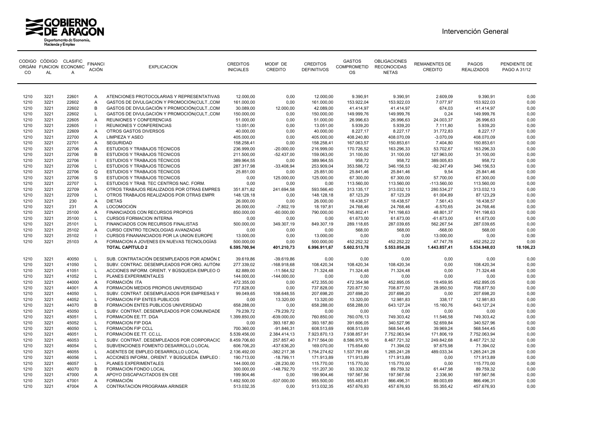



| <sub>CO</sub> | <b>AL</b> | CODIGO CÓDIGO CLASIFIC<br>ORGÁNI FUNCION ECONOMIC<br>Α | <b>FINANCI</b><br><b>ACIÓN</b> | <b>EXPLICACION</b>                            | <b>CREDITOS</b><br><b>INICIALES</b> | MODIF DE<br>CREDITO | <b>CREDITOS</b><br><b>DEFINITIVOS</b> | <b>GASTOS</b><br><b>COMPROMETID</b><br>OS. | <b>OBLIGACIONES</b><br><b>RECONOCIDAS</b><br><b>NETAS</b> | <b>REMANENTES DE</b><br><b>CREDITO</b> | PAGOS<br><b>REALIZADOS</b> | PENDIENTE DE<br>PAGO A 31/12 |
|---------------|-----------|--------------------------------------------------------|--------------------------------|-----------------------------------------------|-------------------------------------|---------------------|---------------------------------------|--------------------------------------------|-----------------------------------------------------------|----------------------------------------|----------------------------|------------------------------|
| 1210          | 3221      | 22601                                                  | A                              | ATENCIONES PROTOCOLARIAS Y REPRESENTATIVAS    | 12.000,00                           | 0,00                | 12.000,00                             | 9.390,91                                   | 9.390,91                                                  | 2.609,09                               | 9.390,91                   | 0.00                         |
| 1210          | 3221      | 22602                                                  | A                              | GASTOS DE DIVULGACIÓN Y PROMOCIÓN (CULT., COM | 161.000,00                          | 0,00                | 161.000,00                            | 153.922,04                                 | 153.922,03                                                | 7.077,97                               | 153.922,03                 | 0,00                         |
| 1210          | 3221      | 22602                                                  | B                              | GASTOS DE DIVULGACIÓN Y PROMOCIÓN(CULT.,COM   | 30.089,00                           | 12.000,00           | 42.089,00                             | 41.414,97                                  | 41.414,97                                                 | 674,03                                 | 41.414,97                  | 0,00                         |
| 1210          | 3221      | 22602                                                  | L                              | GASTOS DE DIVULGACIÓN Y PROMOCIÓN(CULT.,COM   | 150.000,00                          | 0,00                | 150.000,00                            | 149.999,76                                 | 149.999,76                                                | 0,24                                   | 149.999,76                 | 0,00                         |
| 1210          | 3221      | 22605                                                  | $\mathsf{A}$                   | REUNIONES Y CONFERENCIAS                      | 51.000,00                           | 0,00                | 51.000,00                             | 26.996,63                                  | 26.996,63                                                 | 24.003,37                              | 26.996,63                  | 0,00                         |
| 1210          | 3221      | 22605                                                  |                                | REUNIONES Y CONFERENCIAS                      | 13.051,00                           | 0,00                | 13.051,00                             | 5.939,20                                   | 5.939,20                                                  | 7.111,80                               | 5.939,20                   | 0,00                         |
| 1210          | 3221      | 22609                                                  | Α                              | OTROS GASTOS DIVERSOS                         | 40.000,00                           | 0,00                | 40.000,00                             | 8.227,17                                   | 8.227,17                                                  | 31.772,83                              | 8.227,17                   | 0,00                         |
| 1210          | 3221      | 22700                                                  | A                              | <b>LIMPIEZA Y ASEO</b>                        | 405.000,00                          | 0,00                | 405.000,00                            | 408.240,80                                 | 408.070,09                                                | $-3.070,09$                            | 408.070,09                 | 0,00                         |
| 1210          | 3221      | 22701                                                  | A                              | <b>SEGURIDAD</b>                              | 158.258,41                          | 0,00                | 158.258,41                            | 167.063,57                                 | 150.853,61                                                | 7.404,80                               | 150.853,61                 | 0,00                         |
| 1210          | 3221      | 22706                                                  | Α                              | ESTUDIOS Y TRABAJOS TÉCNICOS                  | 236.999,00                          | $-20.000,00$        | 216.999,00                            | 170.726,52                                 | 163.296,33                                                | 53.702,67                              | 163.296,33                 | 0,00                         |
| 1210          | 3221      | 22706                                                  | B                              | <b>ESTUDIOS Y TRABAJOS TÉCNICOS</b>           | 211.500,00                          | $-52.437,00$        | 159.063,00                            | 31.100,00                                  | 31.100,00                                                 | 127.963,00                             | 31.100,00                  | 0,00                         |
| 1210          | 3221      | 22706                                                  |                                | ESTUDIOS Y TRABAJOS TÉCNICOS                  | 389.964,55                          | 0,00                | 389.964,55                            | 958,72                                     | 958,72                                                    | 389.005,83                             | 958,72                     | 0,00                         |
| 1210          | 3221      | 22706                                                  | $\mathsf{L}$                   | ESTUDIOS Y TRABAJOS TÉCNICOS                  | 287.317,98                          | $-33.408,94$        | 253.909,04                            | 353.586,72                                 | 346.156,53                                                | $-92.247,49$                           | 346.156,53                 | 0,00                         |
| 1210          | 3221      | 22706                                                  | $\Omega$                       | <b>ESTUDIOS Y TRABAJOS TÉCNICOS</b>           | 25.851,00                           | 0,00                | 25.851,00                             | 25.841,46                                  | 25.841,46                                                 | 9,54                                   | 25.841,46                  | 0.00                         |
| 1210          | 3221      | 22706                                                  | S                              | ESTUDIOS Y TRABAJOS TECNICOS                  | 0,00                                | 125.000,00          | 125.000,00                            | 67.300,00                                  | 67.300,00                                                 | 57.700,00                              | 67.300,00                  | 0,00                         |
| 1210          | 3221      | 22707                                                  | $\mathsf{L}$                   | ESTUDIOS Y TRAB. TEC CENTROS NAC. FORM        | 0,00                                | 0,00                | 0,00                                  | 113.560,00                                 | 113.560,00                                                | $-113.560,00$                          | 113.560,00                 | 0,00                         |
| 1210          | 3221      | 22709                                                  | $\overline{A}$                 | OTROS TRABAJOS REALIZADOS POR OTRAS EMPRES    | 351.871,82                          | 241.694,58          | 593.566,40                            | 313.135,17                                 | 313.032,13                                                | 280.534,27                             | 313.032,13                 | 0,00                         |
| 1210          | 3221      | 22709                                                  | $\mathsf{L}$                   | OTROS TRABAJOS REALIZADOS POR OTRAS EMPR      | 148.128,18                          | 0,00                | 148.128,18                            | 87.123,29                                  | 87.123,29                                                 | 61.004,89                              | 87.123,29                  | 0,00                         |
| 1210          | 3221      | 230                                                    | A                              | <b>DIETAS</b>                                 | 26.000,00                           | 0,00                | 26.000,00                             | 18.438,57                                  | 18.438,57                                                 | 7.561,43                               | 18.438,57                  | 0.00                         |
| 1210          | 3221      | 231                                                    | A                              | <b>LOCOMOCIÓN</b>                             | 26.000,00                           | $-7.802,19$         | 18.197,81                             | 24.768,46                                  | 24.768,46                                                 | $-6.570,65$                            | 24.768,46                  | 0,00                         |
| 1210          | 3221      | 25100                                                  | Α                              | FINANCIADOS CON RECURSOS PROPIOS              | 850.000,00                          | $-60.000,00$        | 790.000,00                            | 745.802,41                                 | 741.198,63                                                | 48.801,37                              | 741.198,63                 | 0,00                         |
| 1210          | 3221      | 25100                                                  | $\mathsf{L}$                   | <b>CURSOS FORMACION INTERNA</b>               | 0,00                                | 0,00                | 0,00                                  | 61.673,00                                  | 61.673,00                                                 | $-61.673,00$                           | 61.673,00                  | 0,00                         |
| 1210          | 3221      | 25101                                                  | $\mathbf{L}$                   | <b>FINANCIADOS CON RECURSOS FINALISTAS</b>    | 500.000,00                          | 349.307,19          | 849.307,19                            | 289.118,65                                 | 287.039,65                                                | 562.267,54                             | 287.039,65                 | 0,00                         |
| 1210          | 3221      | 25102                                                  | $\overline{A}$                 | CURSO CENTRO TECNOLOGIAS AVANZADAS            | 0,00                                | 0,00                | 0,00                                  | 568,00                                     | 568,00                                                    | $-568,00$                              | 568,00                     | 0,00                         |
| 1210          | 3221      | 25102                                                  |                                | CURSOS FINANANCIADOS POR LA UNION EUROPE      | 13.000,00                           | 0,00                | 13.000,00                             | 0,00                                       | 0,00                                                      | 13.000,00                              | 0,00                       | 0,00                         |
| 1210          | 3221      | 25103                                                  | A                              | FORMACION A JOVENES EN NUEVAS TECNOLOGÍAS     | 500.000,00                          | 0,00                | 500.000,00                            | 452.252,32                                 | 452.252,22                                                | 47.747,78                              | 452.252,22                 | 0,00                         |
|               |           |                                                        |                                | <b>TOTAL CAPÍTULO 2</b>                       | 6.595.700,94                        | 401.210,73          | 6.996.911,67                          | 5.602.513,78                               | 5.553.054,26                                              | 1.443.857,41                           | 5.534.948,03               | 18.106,23                    |
| 1210          | 3221      | 40050                                                  | L.                             | SUB. CONTRATACIÓN DESEMPLEADOS POR ADMÓN L    | 39.619,86                           | $-39.619.86$        | 0,00                                  | 0,00                                       | 0,00                                                      | 0,00                                   | 0,00                       | 0.00                         |
| 1210          | 3221      | 41050                                                  | $\mathsf{L}$                   | SUBV. CONTRAC. DESEMPLEADOS POR ORG. AUTÓNO   | 277.339,02                          | $-168.918,68$       | 108.420,34                            | 108.420,34                                 | 108.420,34                                                | 0,00                                   | 108.420,34                 | 0,00                         |
| 1210          | 3221      | 41051                                                  | $\mathsf{L}$                   | ACCIONES INFORM. ORIENT. Y BÚSQUEDA EMPLEO O  | 82.889,00                           | $-11.564,52$        | 71.324,48                             | 71.324,48                                  | 71.324,48                                                 | 0,00                                   | 71.324,48                  | 0,00                         |
| 1210          | 3221      | 41052                                                  |                                | PLANES EXPERIMENTALES                         | 144.000,00                          | $-144.000,00$       | 0.00                                  | 0.00                                       | 0,00                                                      | 0.00                                   | 0,00                       | 0.00                         |
| 1210          | 3221      | 44000                                                  | $\mathsf{A}$                   | FORMACIÓN ITA                                 | 472.355,00                          | 0,00                | 472.355,00                            | 472.354,98                                 | 452.895,05                                                | 19.459,95                              | 452.895,05                 | 0,00                         |
| 1210          | 3221      | 44001                                                  | Α                              | FORMACIÓN MEDIOS PROPIOS UNIVERSIDAD          | 737.828,00                          | 0,00                | 737.828,00                            | 720.877,50                                 | 708.877,50                                                | 28.950,50                              | 708.877,50                 | 0,00                         |
| 1210          | 3221      | 44050                                                  | L                              | SUBV. CONTRAT. DESEMPLEADOS POR EMPRESAS Y    | 99.049,65                           | 108.648,55          | 207.698,20                            | 207.698,20                                 | 207.698,20                                                | 0,00                                   | 207.698,20                 | 0,00                         |
| 1210          | 3221      | 44052                                                  | $\mathsf{L}$                   | FORMACION FIP ENTES PUBLICOS                  | 0,00                                | 13.320,00           | 13.320,00                             | 13.320,00                                  | 12.981,83                                                 | 338,17                                 | 12.981,83                  | 0,00                         |
| 1210          | 3221      | 44070                                                  | B                              | FORMACIÓN ENTES PUBLICOS UNIVERSIDAD          | 658.288,00                          | 0,00                | 658.288,00                            | 658.288,00                                 | 643.127,24                                                | 15.160,76                              | 643.127,24                 | 0.00                         |
| 1210          | 3221      | 45050                                                  | <b>L</b>                       | SUBV. CONTRAT. DESEMPLEADOS POR COMUNIDADE    | 79.239,72                           | $-79.239.72$        | 0,00                                  | 0,00                                       | 0,00                                                      | 0,00                                   | 0,00                       | 0,00                         |
| 1210          | 3221      | 45051                                                  | $\mathsf{L}$                   | FORMACIÓN EE.TT. DGA                          | 1.399.850,00                        | $-639.000,00$       | 760.850,00                            | 760.076,13                                 | 749.303,42                                                | 11.546,58                              | 749.303,42                 | 0,00                         |
| 1210          | 3221      | 45052                                                  | L.                             | FORMACION FIP DGA                             | 0,00                                | 393.187,80          | 393.187,80                            | 391.606,05                                 | 340.527,96                                                | 52.659,84                              | 340.527,96                 | 0,00                         |
| 1210          | 3221      | 46050                                                  | $\mathsf{L}$                   | FORMACIÓN FIP CCLL                            | 700.360,00                          | $-91.846.31$        | 608.513.69                            | 608.513,69                                 | 568.544,45                                                | 39.969,24                              | 568.544,45                 | 0.00                         |
| 1210          | 3221      | 46051                                                  | L.                             | FORMACIÓN EE.TT. CC.LL.                       | 5.539.456,00                        | 2.384.414,13        | 7.923.870,13                          | 7.938.857,91                               | 7.752.063,94                                              | 171.806,19                             | 7.752.063,94               | 0,00                         |
| 1210          | 3221      | 46053                                                  | L.                             | SUBV. CONTRAT. DESEMPLEADOS POR CORPORACIC    | 8.459.706,60                        | 257.857,40          | 8.717.564,00                          | 8.586.975,16                               | 8.467.721,32                                              | 249.842,68                             | 8.467.721,32               | 0,00                         |
| 1210          | 3221      | 46054                                                  | $\mathsf{L}$                   | SUBVENCIONES FOMENTO DESARROLLO LOCAL         | 606.706,20                          | -437.636,20         | 169.070,00                            | 175.654,60                                 | 71.394,02                                                 | 97.675,98                              | 71.394,02                  | 0,00                         |
| 1210          | 3221      | 46055                                                  | L.                             | AGENTES DE EMPLEO DESARROLLO LOCAL            | 2.136.492,00                        | $-382.217,38$       | 1.754.274,62                          | 1.537.781,68                               | 1.265.241,28                                              | 489.033,34                             | 1.265.241,28               | 0,00                         |
| 1210          | 3221      | 46056                                                  | L.                             | ACCIONES INFORM., ORIENT. Y BÚSQUEDA EMPLEO : | 190.713.00                          | $-18.799, 11$       | 171.913,89                            | 171.913,89                                 | 171.913,89                                                | 0.00                                   | 171.913,89                 | 0.00                         |
| 1210          | 3221      | 46057                                                  |                                | PLANES EXPERIMENTALES                         | 144.000,00                          | $-28.230,00$        | 115.770,00                            | 115.770,00                                 | 115.770,00                                                | 0,00                                   | 115.770,00                 | 0,00                         |
| 1210          | 3221      | 46070                                                  | В                              | FORMACIÓN FONDO LOCAL                         | 300.000,00                          | $-148.792,70$       | 151.207,30                            | 93.330,32                                  | 89.759,32                                                 | 61.447,98                              | 89.759,32                  | 0,00                         |
| 1210          | 3221      | 47000                                                  | Α                              | APOYO DISCAPACITADOS EN CEE                   | 199.904,46                          | 0,00                | 199.904,46                            | 197.567,56                                 | 197.567,56                                                | 2.336,90                               | 197.567,56                 | 0,00                         |
| 1210          | 3221      | 47001                                                  | A                              | <b>FORMACIÓN</b>                              | 1.492.500,00                        | $-537.000,00$       | 955.500,00                            | 955.483,81                                 | 866.496,31                                                | 89.003,69                              | 866.496,31                 | 0.00                         |
| 1210          | 3221      | 47004                                                  | A                              | CONTRATACIÓN PROGRAMA ARINSER                 | 513.032.35                          | 0.00                | 513.032.35                            | 457.676.93                                 | 457.676.93                                                | 55.355.42                              | 457.676.93                 | 0.00                         |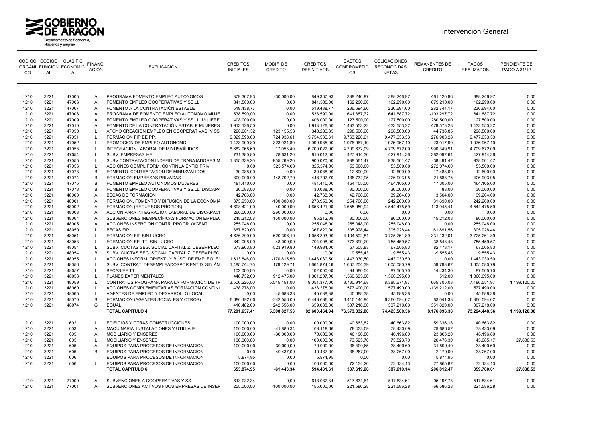



| CO.          | AL           | CODIGO CÓDIGO CLASIFIC<br>ORGÁNI FUNCION ECONOMIC<br>A | <b>FINANCI</b><br><b>ACIÓN</b> | <b>EXPLICACION</b>                             | <b>CREDITOS</b><br><b>INICIALES</b> | MODIF DE<br><b>CREDITO</b>  | <b>CREDITOS</b><br><b>DEFINITIVOS</b> | <b>GASTOS</b><br><b>COMPROMETID</b><br>OS. | OBLIGACIONES<br><b>RECONOCIDAS</b><br><b>NETAS</b> | <b>REMANENTES DE</b><br><b>CREDITO</b> | <b>PAGOS</b><br><b>REALIZADOS</b> | PENDIENTE DE<br>PAGO A 31/12 |
|--------------|--------------|--------------------------------------------------------|--------------------------------|------------------------------------------------|-------------------------------------|-----------------------------|---------------------------------------|--------------------------------------------|----------------------------------------------------|----------------------------------------|-----------------------------------|------------------------------|
| 1210         | 3221         | 47005                                                  | Α                              | PROGRAMA FOMENTO EMPLEO AUTÓNOMOS              | 879.367,93                          | $-30.000,00$                | 849.367,93                            | 388.246,97                                 | 388.246,97                                         | 461.120,96                             | 388.246,97                        | 0,00                         |
| 1210         | 3221         | 47006                                                  | Α                              | FOMENTO EMPLEO COOPERATIVAS Y SS.LL.           | 841.500,00                          | 0,00                        | 841.500,00                            | 162.290,00                                 | 162.290,00                                         | 679.210,00                             | 162.290,00                        | 0,00                         |
| 1210         | 3221         | 47007                                                  | A                              | FOMENTO A LA CONTRATACIÓN ESTABLE              | 519.438,77                          | 0,00                        | 519.438,77                            | 236.694,60                                 | 236.694,60                                         | 282.744,17                             | 236.694,60                        | 0,00                         |
| 1210         | 3221         | 47008                                                  | A                              | PROGRAMA DE FOMENTO EMPLEO AUTÓNOMO MUJE       | 538.590,00                          | 0,00                        | 538.590,00                            | 641.887,72                                 | 641.887,72                                         | $-103.297,72$                          | 641.887,72                        | 0,00                         |
| 1210         | 3221         | 47009                                                  | Α                              | FOMENTO EMPLEO COOPERATIVAS Y SS.LL. MUJERE    | 408.000,00                          | 0,00                        | 408.000,00                            | 127.500,00                                 | 127.500,00                                         | 280.500,00                             | 127.500,00                        | 0,00                         |
| 1210         | 3221         | 47010                                                  | A                              | FOMENTO DE LA CONTRATACIÓN ESTABLE MUJERES     | 1.913.126,50                        | 0,00                        | 1.913.126,50                          | 1.433.553,22                               | 1.433.553,22                                       | 479.573,28                             | 1.433.553,22                      | 0,00                         |
| 1210         | 3221         | 47050                                                  | $\mathbf{L}$                   | APOYO CREACIÓN EMPLEO EN COOPERATIVAS Y SS     | 220.081,32                          | 123.155,53                  | 343.236,85                            | 298.500,00                                 | 298.500,00                                         | 44.736,85                              | 298.500,00                        | 0,00                         |
| 1210         | 3221         | 47051                                                  | L                              | FORMACIÓN FIP EE.PP.                           | 9.029.598,00                        | 724.938,61                  | 9.754.536,61                          | 9.763.220,01                               | 9.477.633,33                                       | 276.903,28                             | 9.477.633,33                      | 0,00                         |
| 1210         | 3221         | 47052                                                  |                                | PROMOCIÓN DE EMPLEO AUTÓNOMO                   | 1.423.909,80                        | $-323.924,80$               | 1.099.985,00                          | 1.076.967,10                               | 1.076.967,10                                       | 23.017,90                              | 1.076.967,10                      | 0,00                         |
| 1210         | 3221         | 47053                                                  |                                | INTEGRACIÓN LABORAL DE MINUSVÁLIDOS            | 6.682.968,60                        | 17.053,40                   | 6.700.022,00                          | 4.709.672,09                               | 4.709.672,09                                       | 1.990.349,91                           | 4.709.672,09                      | 0,00                         |
| 1210         | 3221         | 47054                                                  | $\mathsf{L}$                   | SUBV, EMPRESAS I+E                             | 731.380,80                          | 78.631,20                   | 810.012,00                            | 427.914,36                                 | 427.914,36                                         | 382.097,64                             | 427.914,36                        | 0,00                         |
| 1210         | 3221         | 47055                                                  | L                              | SUBV.CONTRATACIÓN INDEFINIDA TRABAJADORES M    | 1.855.339,20                        | $-955.269,20$               | 900.070,00                            | 938.561,47                                 | 938.561,47                                         | $-38.491,47$                           | 938.561,47                        | 0,00                         |
| 1210         | 3221         | 47056                                                  |                                | ACCIONES COMPL.FORM. CONTINUA ENTID.PRIV       | 0,00                                | 325.574,00                  | 325.574,00                            | 53.500,00                                  | 53.500,00                                          | 272.074,00                             | 53.500,00                         | 0,00                         |
| 1210         | 3221         | 47073                                                  | B                              | FOMENTO CONTRATACIÓN DE MINUSVÁLIDOS           | 30.088,00                           | 0,00                        | 30.088,00                             | 12.600,00                                  | 12.600,00                                          | 17.488,00                              | 12.600,00                         | 0,00                         |
| 1210         | 3221         | 47074                                                  | B                              | FORMACIÓN EMPRESAS PRIVADAS                    | 300.000,00                          | 148.792,70                  | 448.792,70                            | 438.734,95                                 | 426.903,95                                         | 21.888,75                              | 426.903,95                        | 0,00                         |
| 1210         | 3221         | 47075                                                  | B                              | FOMENTO EMPLEO AUTONOMOS MUJERES               | 481.410,00                          | 0,00                        | 481.410,00                            | 464.105,00                                 | 464.105,00                                         | 17.305,00                              | 464.105,00                        | 0,00                         |
| 1210         | 3221         | 47078                                                  | B                              | FOMENTO EMPLEO COOPERATIVAS Y SS.LL. DISCAPA   | 30.088,00                           | 0,00                        | 30.088,00                             | 30.000,00                                  | 30.000,00                                          | 88,00                                  | 30.000,00                         | 0,00                         |
| 1210         | 3221         | 48000                                                  | Α                              | BECAS DE FORMACIÓN                             | 42.768,00                           | 0,00                        | 42.768,00                             | 42.768,00                                  | 39.204,00                                          | 3.564,00                               | 39.204,00                         | 0,00                         |
| 1210         | 3221         | 48001                                                  | Α                              | FORMACIÓN, FOMENTO Y DIFUSIÓN DE LA ECONOMÍA   | 373.950,00                          | $-100.000,00$               | 273.950,00                            | 254.760,00                                 | 242.260,00                                         | 31.690,00                              | 242.260,00                        | 0,00                         |
| 1210         | 3221         | 48002                                                  | A                              | FORMACIÓN (RECURSOS PROPIOS)                   | 4.698.421,00                        | $-40.000,00$                | 4.658.421,00                          | 4.655.959,94                               | 4.544.475,59                                       | 113.945,41                             | 4.544.475,59                      | 0,00                         |
| 1210         | 3221         | 48003                                                  | A                              | ACCION PARA INTEGRACION LABORAL DE DISCAPACI   | 260.000,00                          | $-260.000,00$               | 0,00                                  | 0,00                                       | 0,00                                               | 0,00                                   | 0,00                              | 0,00                         |
| 1210         | 3221         | 48004                                                  | A                              | SUBVENCIONES INESPECÍFICAS FORMACIÓN EMPLEC    | 245.212,08                          | $-150.000,00$               | 95.212,08                             | 80.000,00                                  | 80.000,00                                          | 15.212,08                              | 80.000,00                         | 0,00                         |
| 1210         | 3221         | 48005                                                  | Α                              | ACCIONES INSERCIÓN CONTR. PROGR. (AGENT.       | 255.048,00                          | 0,00                        | 255.048,00                            | 255.048,00                                 | 255.048,00                                         | 0,00                                   | 255.048,00                        | 0,00                         |
| 1210         | 3221<br>3221 | 48050                                                  | L                              | <b>BECAS FIP</b><br>FORMACIÓN FIP SIN LUCRO    | 367.820,00                          | 0,00                        | 367.820,00                            | 305.928,44                                 | 305.928,44                                         | 61.891,56                              | 305.928,44                        | 0,00                         |
| 1210<br>1210 | 3221         | 48051<br>48053                                         |                                | FORMACIÓN EE. TT. SIN LUCRO                    | 4.676.790,00<br>842.008,00          | $-620.396, 10$              | 4.056.393,90                          | 4.104.502,81                               | 3.725.261,89                                       | 331.132,01<br>38.548,43                | 3.725.261,89<br>755.459,57        | 0,00<br>0,00                 |
| 1210         | 3221         | 48054                                                  | L                              | SUBV. CUOTAS SEG. SOCIAL CAPITALIZ. DESEMPLEO  | 673.903,80                          | $-48.000,00$<br>-523.919,80 | 794.008,00<br>149.984,00              | 773.899,20<br>67.505,83                    | 755.459,57<br>67.505,83                            | 82.478,17                              | 67.505,83                         | 0,00                         |
| 1210         | 3221         | 48054                                                  | B                              | SUBV. CUOTAS SEG. SOCIAL CAPITALIZ. DESEMPLEO  | 0,00                                | 0,00                        | 0,00                                  | 9.555,43                                   | 9.555,43                                           | $-9.555,43$                            | 9.555,43                          | 0,00                         |
| 1210         | 3221         | 48055                                                  | $\mathsf{L}$                   | ACCIONES INFORM. ORIENT. Y BÚSQ. DE EMPLEO: EI | 1.613.846,00                        | $-170.815,50$               | 1.443.030,50                          | 1.443.030,50                               | 1.443.030,50                                       | 0,00                                   | 1.443.030,50                      | 0,00                         |
| 1210         | 3221         | 48056                                                  | L                              | SUBV. CONTRAT. DESEMPLEADOSPOR ENTID. SIN ÁN   | 1.485.744,75                        | 179.129,71                  | 1.664.874,46                          | 1.607.204,39                               | 1.605.080,79                                       | 59.793,67                              | 1.605.080,79                      | 0,00                         |
| 1210         | 3221         | 48057                                                  | L                              | BECAS EE.TT.                                   | 102.000,00                          | 0,00                        | 102.000,00                            | 94.080,54                                  | 87.565,70                                          | 14.434,30                              | 87.565,70                         | 0.00                         |
| 1210         | 3221         | 48058                                                  | L                              | PLANES EXPERIMENTALES                          | 448.732.00                          | 912.475,00                  | 1.361.207,00                          | 1.360.695,00                               | 1.360.695,00                                       | 512,00                                 | 1.360.695.00                      | 0,00                         |
| 1210         | 3221         | 48059                                                  |                                | CONTRATOS PROGRAMA PARA LA FORMACIÓN DE TF     | 3.506.226,00                        | 5.545.151,00                | 9.051.377,00                          | 8.730.914,68                               | 8.385.671,97                                       | 665.705,03                             | 7.186.551,97                      | 1.199.120,00                 |
| 1210         | 3221         | 48060                                                  | L                              | ACCIONES COMPLEMENTARIAS FORMACION CONTINU     | 438.278,00                          | 0,00                        | 438.278,00                            | 577.490,00                                 | 577.490,00                                         | $-139.212,00$                          | 577.490,00                        | 0,00                         |
| 1210         | 3221         | 48065                                                  | L                              | AGENTES DE EMPLEO Y DESARROLLO LOCAL           | 0,00                                | 45.688,38                   | 45.688,38                             | 45.688,38                                  | 45.688,38                                          | 0,00                                   | 45.688,38                         | 0,00                         |
| 1210         | 3221         | 48070                                                  | B                              | FORMACIÓN (AGENTES SOCIALES Y OTROS)           | 6.686.192,00                        | $-242.556,00$               | 6.443.636,00                          | 6.410.144,94                               | 6.360.594,62                                       | 83.041,38                              | 6.360.594,62                      | 0,00                         |
| 1210         | 3221         | 48074                                                  | G                              | <b>EQUAL</b>                                   | 416.482,00                          | 242.556,00                  | 659.038.00                            | 307.218.00                                 | 307.218,00                                         | 351.820,00                             | 307.218.00                        | 0.00                         |
|              |              |                                                        |                                | <b>TOTAL CAPÍTULO 4</b>                        | 77.291.637,41                       | 5.308.827,53                | 82.600.464,94                         | 76.573.832,80                              | 74.423.568,56                                      | 8.176.896,38                           | 73.224.448,56                     | 1.199.120,00                 |
| 1210         | 3221         | 602                                                    | $\mathsf{L}$                   | EDIFICIOS Y OTRAS CONSTRUCCIONES               | 100.000,00                          | 0,00                        | 100.000,00                            | 40.663,82                                  | 40.663,82                                          | 59.336,18                              | 40.663,82                         | 0,00                         |
| 1210         | 3221         | 603                                                    | Α                              | MAQUINARIA, INSTALACIONES Y UTILLAJE           | 150.000,00                          | $-41.880,34$                | 108.119,66                            | 78.433,09                                  | 78.433,09                                          | 29.686,57                              | 78.433,09                         | 0,00                         |
| 1210         | 3221         | 605                                                    | Α                              | <b>MOBILIARIO Y ENSERES</b>                    | 100.000,00                          | $-30.000,00$                | 70.000,00                             | 46.196,80                                  | 46.196,80                                          | 23.803,20                              | 46.196,80                         | 0,00                         |
| 1210         | 3221         | 605                                                    | $\mathbf{L}$                   | <b>MOBILIARIO Y ENSERES</b>                    | 100.000,00                          | 0,00                        | 100.000,00                            | 73.523,70                                  | 73.523,70                                          | 26.476,30                              | 45.685,17                         | 27.838,53                    |
| 1210         | 3221         | 606                                                    | Α                              | EQUIPOS PARA PROCESOS DE INFORMACION           | 100.000,00                          | $-30.000,00$                | 70.000,00                             | 38.400,65                                  | 38.400,60                                          | 31.599,40                              | 38.400,60                         | 0,00                         |
| 1210         | 3221         | 606                                                    | B                              | EQUIPOS PARA PROCESOS DE INFORMACION           | 0,00                                | 40.437,00                   | 40.437,00                             | 38.267,00                                  | 38.267,00                                          | 2.170,00                               | 38.267,00                         | 0,00                         |
| 1210         | 3221         | 606                                                    |                                | EQUIPOS PARA PROCESOS DE INFORMACION           | 5.874,95                            | 0,00                        | 5.874,95                              | 0,00                                       | 0,00                                               | 5.874,95                               | 0,00                              | 0,00                         |
| 1210         | 3221         | 606                                                    | L                              | EQUIPOS PARA PROCESOS DE INFORMACION           | 100.000,00                          | 0,00                        | 100.000,00                            | 72.134,20                                  | 72.134,13                                          | 27.865,87                              | 72.134,13                         | 0,00                         |
|              |              |                                                        |                                | <b>TOTAL CAPÍTULO 6</b>                        | 655.874,95                          | $-61.443,34$                | 594.431,61                            | 387.619,26                                 | 387.619,14                                         | 206.812,47                             | 359.780,61                        | 27.838,53                    |
| 1210         | 3221         | 77000                                                  | A                              | SUBVENCIONES A COOPERATIVAS Y SS.LL.           | 613.032,34                          | 0,00                        | 613.032,34                            | 517.834,61                                 | 517.834,61                                         | 95.197,73                              | 517.834,61                        | 0.00                         |
| 1210         | 3221         | 77001                                                  | Α                              | SUBVENCIONES ACTIVOS FIJOS EMPRESAS DE INSEF   | 255.000,00                          | $-100.000,00$               | 155.000,00                            | 221.586,28                                 | 221.586,28                                         | $-66.586,28$                           | 221.586,28                        | 0,00                         |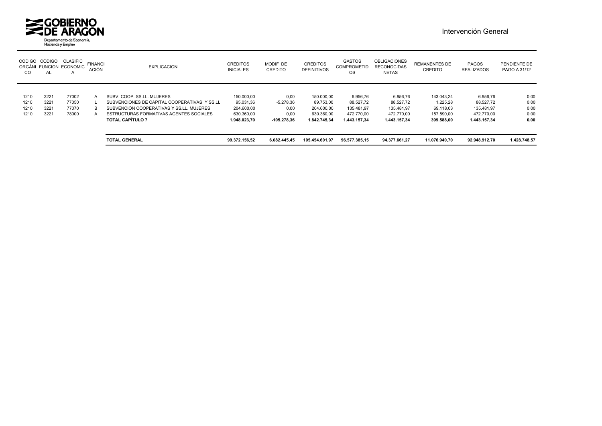

| <b>CODIGO</b><br>CO | CÓDIGO<br><b>AL</b> | <b>CLASIFIC</b><br>ORGÁNI FUNCION ECONOMIC<br>$\mathsf{A}$ | <b>FINANCI</b><br><b>ACIÓN</b> | <b>EXPLICACION</b>                           | <b>CREDITOS</b><br><b>INICIALES</b> | MODIF DE<br>CREDITO | <b>CREDITOS</b><br><b>DEFINITIVOS</b> | <b>GASTOS</b><br><b>COMPROMETID</b><br><b>OS</b> | <b>OBLIGACIONES</b><br><b>RECONOCIDAS</b><br><b>NETAS</b> | <b>REMANENTES DE</b><br><b>CREDITO</b> | PAGOS<br><b>REALIZADOS</b> | PENDIENTE DE<br>PAGO A 31/12 |
|---------------------|---------------------|------------------------------------------------------------|--------------------------------|----------------------------------------------|-------------------------------------|---------------------|---------------------------------------|--------------------------------------------------|-----------------------------------------------------------|----------------------------------------|----------------------------|------------------------------|
|                     |                     |                                                            |                                |                                              |                                     |                     |                                       |                                                  |                                                           |                                        |                            |                              |
| 1210                | 3221                | 77002                                                      | A                              | SUBV, COOP, SS.LL, MUJERES                   | 150.000.00                          | 0,00                | 150.000.00                            | 6.956.76                                         | 6.956.76                                                  | 143.043.24                             | 6.956,76                   | 0,00                         |
| 1210                | 3221                | 77050                                                      |                                | SUBVENCIONES DE CAPITAL COOPERATIVAS Y SS.LL | 95.031.36                           | $-5.278.36$         | 89.753.00                             | 88.527.72                                        | 88.527,72                                                 | 1.225.28                               | 88.527.72                  | 0,00                         |
| 1210                | 3221                | 77070                                                      | B.                             | SUBVENCIÓN COOPERATIVAS Y SS.LL. MUJERES     | 204.600.00                          | 0.00                | 204.600.00                            | 135.481.97                                       | 135.481.97                                                | 69.118.03                              | 135.481.97                 | 0.00                         |
| 1210                | 3221                | 78000                                                      |                                | ESTRUCTURAS FORMATIVAS AGENTES SOCIALES      | 630.360,00                          | 0,00                | 630.360.00                            | 472.770.00                                       | 472.770.00                                                | 157.590,00                             | 472.770.00                 | 0,00                         |
|                     |                     |                                                            |                                | <b>TOTAL CAPÍTULO 7</b>                      | 1.948.023.70                        | -105.278.36         | 1.842.745.34                          | 1.443.157.34                                     | 1.443.157.34                                              | 399.588.00                             | 1.443.157.34               | 0,00                         |
|                     |                     |                                                            |                                |                                              |                                     |                     |                                       |                                                  |                                                           |                                        |                            |                              |
|                     |                     |                                                            |                                | <b>TOTAL GENERAL</b>                         | 99.372.156.52                       | 6.082.445.45        | 105.454.601.97                        | 96.577.385.15                                    | 94.377.661.27                                             | 11.076.940.70                          | 92.948.912.70              | 1.428.748,57                 |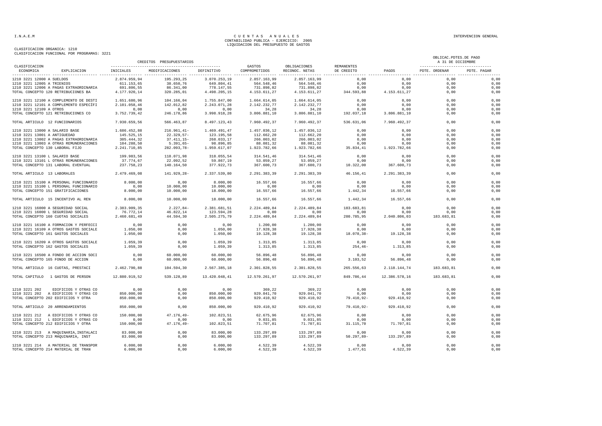|                                 |                                        |               | CREDITOS PRESUPUESTARIOS |               |                         |                                |                          |               | OBLICAC. PDTES. DE PAGO<br>A 31 DE DICIEMBRE       |             |
|---------------------------------|----------------------------------------|---------------|--------------------------|---------------|-------------------------|--------------------------------|--------------------------|---------------|----------------------------------------------------|-------------|
| CLASIFICACION<br>ECONOMICA      | EXPLICACION INICIALES                  |               | MODIFICACIONES           | DEFINITIVO    | GASTOS<br>COMPROMETIDOS | OBLIGACIONES<br>RECONOC. NETAS | REMANENTES<br>DE CREDITO | PAGOS         | ---------------------------------<br>PDTE. ORDENAR | PDTE, PAGAR |
| 1210 3221 12000 A SUELDOS       |                                        | 2.874.959,94  | 195.293,25               | 3.070.253,19  | 2.857.163,99            | 2.857.163,99                   | 0,00                     | 0,00          | 0.00                                               | 0,00        |
| 1210 3221 12005 A TRIENIOS      |                                        | 611.153,65    | 38.650,76                | 649.804,41    | 564.548,46              | 564.548,46                     | 0,00                     | 0,00          | 0,00                                               | 0,00        |
|                                 | 1210 3221 12006 A PAGAS EXTRAORDINARIA | 691.806,55    | 86.341,00                | 778.147,55    | 731.898,82              | 731.898,82                     | 0,00                     | 0,00          | 0,00                                               | 0,00        |
|                                 | TOTAL CONCEPTO 120 RETRIBUCIONES BA    | 4.177.920,14  | 320.285,01               | 4.498.205,15  | 4.153.611,27            | 4.153.611,27                   | 0,00<br>344.593,88       | 4.153.611,27  | 0.00                                               | 0,00        |
|                                 | 1210 3221 12100 A COMPLEMENTO DE DESTI | 1.651.680.96  | 104.166.04               | 1,755,847,00  | 1.664.614.05            | 1.664.614.05                   | 0.00                     | 0.00          | 0.00                                               | 0.00        |
|                                 | 1210 3221 12101 A COMPLEMENTO ESPECÍFI | 2.101.058,46  | 142.012,82               | 2.243.071,28  | 2.142.232,77            | 2.142.232,77                   | 0,00                     | 0,00          | 0,00                                               | 0,00        |
| 1210 3221 12109 A OTROS         |                                        | 0,00          | 0.00                     | 0.00          | 34,28                   | 34,28                          | 0,00                     | 0.00          | 0,00                                               | 0,00        |
|                                 | TOTAL CONCEPTO 121 RETRIBUCIONES CO    | 3.752.739,42  | 246.178,86               | 3.998.918,28  | 3.806.881,10            | 3.806.881,10                   | 192.037,18               | 3.806.881,10  | 0.00                                               | 0,00        |
| TOTAL ARTICULO 12 FUNCIONARIOS  |                                        | 7.930.659,56  | 566.463,87               | 8.497.123,43  | 7.960.492.37            | 7.960.492,37                   | 536.631,06               | 7.960.492,37  | 0.00                                               | 0,00        |
| 1210 3221 13000 A SALARIO BASE  |                                        | 1.686.452,88  | $216.961,41-$            | 1.469.491,47  | 1.457.036,12            | 1.457.036,12                   | 0,00                     | 0,00          | 0,00                                               | 0,00        |
| 1210 3221 13001 A ANTIGUEDAD    |                                        | 145.525,15    | $22.329.57-$             | 123.195,58    | 112.662,20              | 112.662,20                     | 0,00                     | 0,00          | 0,00                                               | 0,00        |
|                                 | 1210 3221 13002 A PAGAS EXTRAORDINARIA | 305.444.32    | $37.411.15 -$            | 268.033.17    | 266.003.02              | 266.003.02                     | 0.00                     | 0.00          | 0.00                                               | 0,00        |
|                                 | 1210 3221 13003 A OTRAS REMUNERACIONES | 104.288,50    | $5.391,65-$              | 98.896,85     | 88.081,32               | 88.081,32                      | 0,00                     | 0,00          | 0,00                                               | 0,00        |
| TOTAL CONCEPTO 130 LABORAL FIJO |                                        | 2.241.710,85  | 282.093,78-              | 1.959.617,07  | 1.923.782,66            | 1.923.782,66                   | 35.834,41                | 1.923.782,66  | 0,00                                               | 0,00        |
| 1210 3221 13100 L SALARIO BASE  |                                        | 199.983,56    | 118.071,98               | 318.055,54    | 314.541,46              | 314.541,46                     | 0,00                     | 0,00          | 0,00                                               | 0,00        |
|                                 | 1210 3221 13101 L OTRAS REMUNERACIONES | 37.774.67     | 22.092.52                | 59.867.19     | 53.059.27               | 53.059.27                      | 0.00                     | 0.00          | 0.00                                               | 0,00        |
|                                 | TOTAL CONCEPTO 131 LABORAL EVENTUAL    | 237.758,23    | 140.164,50               | 377.922,73    | 367.600,73              | 367.600,73                     | 10.322,00                | 367.600,73    | 0,00                                               | 0,00        |
| TOTAL ARTICULO 13 LABORALES     |                                        | 2.479.469,08  | 141.929.28-              | 2.337.539.80  | 2.291.383.39            | 2.291.383.39                   | 46.156.41                | 2.291.383.39  | 0.00                                               | 0,00        |
|                                 | 1210 3221 15100 A PERSONAL FUNCIONARIO | 8,000,00      | 0,00                     | 8.000,00      | 16.557.66               | 16.557,66                      | 0,00                     | 0.00          | 0.00                                               | 0,00        |
|                                 | 1210 3221 15100 L PERSONAL FUNCIONARIO | 0,00          | 10.000,00                | 10.000,00     | 0,00                    | 0,00                           | 0,00                     | 0,00          | 0,00                                               | 0,00        |
|                                 | TOTAL CONCEPTO 151 GRATIFICACIONES     | 8.000,00      | 10.000,00                | 18.000,00     | 16.557,66               | 16.557,66                      | 1.442,34                 | 16.557,66     | 0,00                                               | 0,00        |
|                                 | TOTAL ARTICULO 15 INCENTIVO AL REN     | 8.000,00      | 10.000,00                | 18.000,00     | 16.557,66               | 16.557,66                      | 1.442,34                 | 16.557,66     | 0,00                                               | 0,00        |
|                                 | 1210 3221 16000 A SEGURIDAD SOCIAL     | 2.383.909,35  | $2.227,84-$              | 2.381.681,51  | 2.224.489,84            | 2.224.489,84                   | 183.683,81               | 0,00          | 0,00                                               | 0,00        |
|                                 | 1210 3221 16000 L SEGURIDAD SOCIAL     | 76.772,14     | 46.822,14                | 123.594,28    | 0.00                    | 0.00                           | 0.00                     | 0.00          | 0.00                                               | 0,00        |
|                                 | TOTAL CONCEPTO 160 CUOTAS SOCIALES     | 2.460.681,49  | 44.594,30                | 2.505.275,79  | 2.224.489,84            | 2.224.489,84                   | 280.785,95               | 2.040.806,03  | 183.683,81                                         | 0,00        |
|                                 | 1210 3221 16100 A FORMACION Y PERFECCI | 0,00          | 0,00                     | 0,00          | 1.200,00                | 1.200,00                       | 0,00                     | 0,00          | 0.00                                               | 0,00        |
|                                 | 1210 3221 16109 A OTROS GASTOS SOCIALE | 1.050,00      | 0,00                     | 1.050,00      | 17.928,38               | 17.928,38                      | 0,00                     | 0,00          | 0,00                                               | 0,00        |
|                                 | TOTAL CONCEPTO 161 GASTOS SOCIALES     | 1.050.00      | 0.00                     | 1,050,00      | 19.128.38               | 19.128.38                      | 18.078.38-               | 19.128.38     | 0.00                                               | 0,00        |
|                                 | 1210 3221 16209 A OTROS GASTOS SOCIALE | 1.059,39      | 0.00                     | 1.059,39      | 1.313.85                | 1.313.85                       | 0.00                     | 0.00          | 0.00                                               | 0,00        |
|                                 | TOTAL CONCEPTO 162 GASTOS SOCIALES     | 1.059,39      | 0,00                     | 1.059,39      | 1.313,85                | 1.313,85                       | $254, 46-$               | 1.313,85      | 0,00                                               | 0,00        |
|                                 | 1210 3221 16500 A FONDO DE ACCION SOCI | 0,00          | 60.000,00                | 60.000,00     | 56.896,48               | 56.896,48                      | 0,00                     | 0,00          | 0.00                                               | 0,00        |
|                                 | TOTAL CONCEPTO 165 FONDO DE ACCION     | 0.00          | 60.000,00                | 60.000,00     | 56.896,48               | 56.896,48                      | 3.103, 52                | 56.896,48     | 0.00                                               | 0,00        |
|                                 | TOTAL ARTICULO 16 CUOTAS, PRESTACI     | 2.462.790,88  | 104.594,30               | 2.567.385,18  | 2.301.828,55            | 2.301.828,55                   | 265.556,63               | 2.118.144,74  | 183.683,81                                         | 0,00        |
|                                 | TOTAL CAPITULO 1 GASTOS DE PERSON      | 12.880.919,52 | 539.128,89               | 13.420.048,41 | 12.570.261,97           | 12.570.261,97                  | 849.786,44               | 12.386.578,16 | 183.683,81                                         | 0,00        |
| 1210 3221 202                   | EDIFICIOS Y OTRAS CO                   | 0,00          | 0,00                     | 0,00          | 369,22                  | 369,22                         | 0,00                     | 0,00          | 0,00                                               | 0,00        |
|                                 | 1210 3221 202 A EDIFICIOS Y OTRAS CO   | 850,000,00    | 0,00                     | 850,000,00    | 929.041.70              | 929.041.70                     | 0,00                     | 0.00          | 0.00                                               | 0,00        |
|                                 | TOTAL CONCEPTO 202 EDIFICIOS Y OTRA    | 850.000,00    | 0,00                     | 850.000,00    | 929.410,92              | 929.410,92                     | $79.410, 92 -$           | 929.410,92    | 0,00                                               | 0,00        |
|                                 | TOTAL ARTICULO 20 ARRENDAMIENTOS       | 850.000,00    | 0.00                     | 850.000,00    | 929.410,92              | 929.410,92                     | 79.410,92-               | 929.410.92    | 0.00                                               | 0,00        |
|                                 | 1210 3221 212 A EDIFICIOS Y OTRAS CO   | 150.000,00    | $47.176, 49-$            | 102.823,51    | 62.675,96               | 62.675,96                      | 0,00                     | 0,00          | 0,00                                               | 0,00        |
|                                 | 1210 3221 212 L EDIFICIOS Y OTRAS CO   | 0,00          | 0,00                     | 0,00          | 9.031,85                | 9.031,85                       | 0,00                     | 0,00          | 0,00                                               | 0,00        |
|                                 | TOTAL CONCEPTO 212 EDIFICIOS Y OTRA    | 150.000,00    | 47.176,49-               | 102.823,51    | 71.707,81               | 71.707,81                      | 31.115,70                | 71.707,81     | 0,00                                               | 0,00        |
|                                 | 1210 3221 213 A MAQUINARIA, INSTALACI  | 83,000,00     | 0.00                     | 83,000,00     | 133, 297, 89            | 133.297.89                     | 0.00                     | 0.00          | 0.00                                               | 0.00        |
|                                 | TOTAL CONCEPTO 213 MAQUINARIA, INST    | 83.000,00     | 0,00                     | 83.000,00     | 133.297,89              | 133.297,89                     | $50.297,89-$             | 133.297,89    | 0,00                                               | 0,00        |
|                                 | 1210 3221 214 A MATERIAL DE TRANSPOR   | 6.000,00      | 0,00                     | 6.000,00      | 4.522,39                | 4.522,39                       | 0,00                     | 0,00          | 0.00                                               | 0,00        |
|                                 | TOTAL CONCEPTO 214 MATERIAL DE TRAN    | 6.000,00      | 0,00                     | 6.000,00      | 4.522,39                | 4.522,39                       | 1.477,61                 | 4.522,39      | 0,00                                               | 0,00        |
|                                 |                                        |               |                          |               |                         |                                |                          |               |                                                    |             |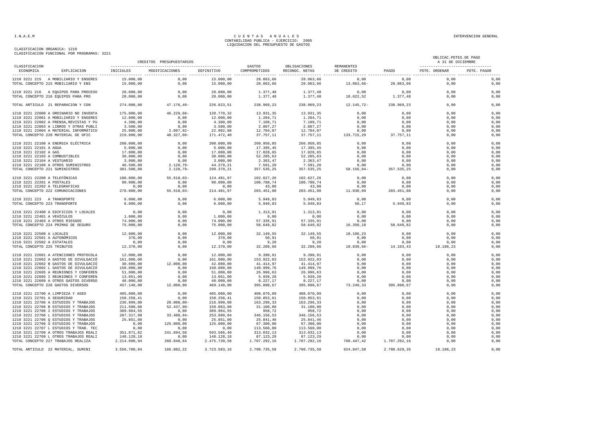CLASIFICACION ORGANICA: 1210 CLASIFICACION FUNCIONAL POR PROGRAMAS: 3221

#### I.N.A.E.M CUENTAS ANUALES<br>CONTABILIDAD PUBLICA - EJERCICIO: 2005 LIQUIDACION DEL PRESUPUESTO DE GASTOS

|                                 |                                                                              |                         | CREDITOS PRESUPUESTARIOS |                         |                         |                                |                          |                    | OBLICAC. PDTES. DE PAGO<br>A 31 DE DICIEMBRE       |              |
|---------------------------------|------------------------------------------------------------------------------|-------------------------|--------------------------|-------------------------|-------------------------|--------------------------------|--------------------------|--------------------|----------------------------------------------------|--------------|
| CLASIFICACION<br>ECONOMICA      | EXPLICACION                                                                  | INICIALES               | MODIFICACIONES           | DEFINITIVO              | GASTOS<br>COMPROMETIDOS | OBLIGACIONES<br>RECONOC. NETAS | REMANENTES<br>DE CREDITO | PAGOS              | ---------------------------------<br>PDTE. ORDENAR | PDTE. PAGAR  |
|                                 | 1210 3221 215 A MOBILIARIO Y ENSERES                                         | 15,000,00               | 0,00                     | 15.000,00               | 28.063,66               | 28.063,66                      | 0,00                     | 0,00               | 0,00                                               | 0,00         |
|                                 | TOTAL CONCEPTO 215 MOBILIARIO Y ENS                                          | 15.000,00               | 0,00                     | 15.000,00               | 28.063,66               | 28.063,66                      | $13.063,66 -$            | 28.063,66          | 0,00                                               | 0,00         |
|                                 | 1210 3221 216 A EQUIPOS PARA PROCESO                                         | 20.000,00               | 0,00                     | 20.000,00               | 1.377,48                | 1.377,48                       | 0,00                     | 0,00               | 0,00                                               | 0,00         |
|                                 | TOTAL CONCEPTO 216 EQUIPOS PARA PRO                                          | 20.000,00               | 0,00                     | 20.000,00               | 1.377,48                | 1.377,48                       | 18.622,52                | 1.377,48           | 0,00                                               | 0,00         |
|                                 | TOTAL ARTICULO 21 REPARACION Y CON                                           | 274.000,00              | $47.176, 49-$            | 226.823,51              | 238.969,23              | 238.969,23                     | $12.145,72-$             | 238.969,23         | 0.00                                               | 0,00         |
|                                 | 1210 3221 22000 A ORDINARIO NO INVENTA                                       | 175,000,00              | $46.229.68 -$            | 128.770,32              | 13.931.35               | 13.931,35                      | 0.00                     | 0.00               | 0.00                                               | 0.00         |
|                                 | 1210 3221 22001 A MOBILIARIO Y ENSERES                                       | 12.000,00               | 0,00                     | 12.000,00               | 1.204,71                | 1.204,71                       | 0,00                     | 0,00               | 0,00                                               | 0,00         |
|                                 | 1210 3221 22002 A PRENSA, REVISTAS Y PU                                      | 4.300,00                | 0,00                     | 4.300,00                | 7.109,71                | 7.109,71                       | 0,00                     | 0,00               | 0,00                                               | 0,00         |
|                                 | 1210 3221 22003 A LIBROS Y OTRAS PUBLI                                       | 3.500,00                | 0,00                     | 3.500,00                | 2.807,27                | 2.807,27                       | 0.00                     | 0.00               | 0.00                                               | 0,00         |
|                                 | 1210 3221 22004 A MATERIAL INFORMÁTICO                                       | 25.000,00               | $2.097,92-$              | 22.902,08               | 12.704,07               | 12.704,07                      | 0,00                     | 0,00               | 0,00                                               | 0,00         |
|                                 | TOTAL CONCEPTO 220 MATERIAL DE OFIC                                          | 219.800,00              | $48.327,60-$             | 171.472,40              | 37.757,11               | 37.757,11                      | 133.715,29               | 37.757,11          | 0,00                                               | 0,00         |
|                                 | 1210 3221 22100 A ENERGIA ELÉCTRICA                                          | 200.000,00              | 0,00                     | 200.000,00              | 260.950,85              | 260.950,85                     | 0,00                     | 0,00               | 0,00                                               | 0,00         |
| 1210 3221 22101 A AGUA          |                                                                              | 5.000,00                | 0,00                     | 5.000,00                | 17.395,45               | 17.395,45                      | 0,00                     | 0,00               | 0,00                                               | 0,00         |
| 1210 3221 22102 A GAS           |                                                                              | 17.000,00               | 0,00                     | 17.000,00               | 17.028,65               | 17.028,65                      | 0,00                     | 0,00               | 0,00                                               | 0,00         |
| 1210 3221 22103 A COMBUSTIBLES  |                                                                              | 30.000,00               | 0,00                     | 30.000,00               | 52.205,63               | 52.205,63                      | 0,00                     | 0,00               | 0,00                                               | 0,00         |
| 1210 3221 22104 A VESTUARIO     |                                                                              | 3.000,00                | 0,00                     | 3.000,00                | 2.363,47                | 2.363,47                       | 0,00                     | 0,00               | 0,00                                               | 0,00         |
|                                 | 1210 3221 22109 A OTROS SUMINISTROS                                          | 46.500,00               | $2.120, 79 -$            | 44.379,21               | 7.591,20                | 7.591,20                       | 0,00                     | 0,00               | 0,00                                               | 0,00         |
| TOTAL CONCEPTO 221 SUMINISTROS  |                                                                              | 301.500,00              | $2.120,79-$              | 299.379,21              | 357.535,25              | 357.535,25                     | $58.156,04-$             | 357.535,25         | 0,00                                               | 0,00         |
| 1210 3221 22200 A TELEFÓNICAS   |                                                                              | 180,000,00              | 55.518.03-               | 124.481.97              | 102.627.26              | 102.627.26                     | 0.00                     | 0.00               | 0.00                                               | 0.00         |
| 1210 3221 22201 A POSTALES      |                                                                              | 90.000,00               | 0,00                     | 90.000,00               | 100.780,74              | 100.780,74                     | 0,00                     | 0,00               | 0,00                                               | 0,00         |
| 1210 3221 22202 A TELEGRAFICAS  |                                                                              | 0,00                    | 0,00                     | 0,00                    | 43.08                   | 43,08                          | 0.00                     | 0.00               | 0.00                                               | 0,00         |
|                                 | TOTAL CONCEPTO 222 COMUNICACIONES                                            | 270.000,00              | $55.518,03-$             | 214.481,97              | 203.451,08              | 203.451,08                     | 11.030,89                | 203.451,08         | 0,00                                               | 0,00         |
| 1210 3221 223 A TRANSPORTE      |                                                                              | 6.000.00                | 0.00                     | 6.000.00                | 5.949.83                | 5.949.83                       | 0.00                     | 0.00               | 0.00                                               | 0.00         |
| TOTAL CONCEPTO 223 TRANSPORTE   |                                                                              | 6.000,00                | 0,00                     | 6.000,00                | 5.949,83                | 5.949,83                       | 50,17                    | 5.949,83           | 0,00                                               | 0,00         |
|                                 | 1210 3221 22400 A EDIFICIOS Y LOCALES                                        | 0,00                    | 0.00                     | 0,00                    | 1.313,91                | 1.313,91                       | 0.00                     | 0.00               | 0.00                                               | 0,00         |
| 1210 3221 22401 A VEHÍCULOS     |                                                                              | 1.000,00                | 0,00                     | 1.000,00                | 0,00                    | 0,00                           | 0,00                     | 0,00               | 0,00                                               | 0,00         |
| 1210 3221 22403 A OTROS RIESGOS |                                                                              | 74.000,00               | 0,00                     | 74.000,00               | 57.335,91               | 57.335,91                      | 0,00                     | 0,00               | 0.00                                               | 0,00         |
|                                 | TOTAL CONCEPTO 224 PRIMAS DE SEGURO                                          | 75.000,00               | 0,00                     | 75.000,00               | 58.649,82               | 58.649,82                      | 16.350,18                | 58.649,82          | 0.00                                               | 0,00         |
| 1210 3221 22500 A LOCALES       |                                                                              | 12.000,00               | 0,00                     | 12.000,00               | 32.149,55               | 32.149,55                      | 18.106,23                | 0,00               | 0,00                                               | 0,00         |
| 1210 3221 22501 A AUTONÓMICOS   |                                                                              | 370,00                  | 0,00                     | 370,00                  | 50,91                   | 50,91                          | 0,00                     | 0,00               | 0,00                                               | 0,00         |
| 1210 3221 22502 A ESTATALES     |                                                                              | 0,00                    | 0,00                     | 0,00                    | 9,20                    | 9,20                           | 0,00                     | 0,00               | 0,00                                               | 0,00         |
| TOTAL CONCEPTO 225 TRIBUTOS     |                                                                              | 12.370,00               | 0,00                     | 12.370,00               | 32.209,66               | 32.209,66                      | 19.839,66-               | 14.103,43          | 18.106,23                                          | 0,00         |
|                                 | 1210 3221 22601 A ATENCIONES PROTOCOLA                                       | 12.000,00               | 0,00                     | 12.000,00               | 9.390,91                | 9.390,91                       | 0,00                     | 0,00               | 0,00                                               | 0,00         |
|                                 | 1210 3221 22602 A GASTOS DE DIVULGACIÓ                                       | 161.000,00              | 0,00                     | 161.000,00              | 153.922,03              | 153.922,03                     | 0,00                     | 0,00               | 0,00                                               | 0,00         |
|                                 | 1210 3221 22602 B GASTOS DE DIVULGACIÓ                                       | 30.089,00               | 12.000,00                | 42.089,00               | 41.414,97               | 41.414,97                      | 0,00                     | 0,00               | 0,00                                               | 0,00         |
|                                 | 1210 3221 22602 L GASTOS DE DIVULGACIÓ                                       | 150.000,00              | 0,00                     | 150.000,00              | 149.999,76              | 149.999,76                     | 0,00                     | 0,00               | 0,00                                               | 0,00         |
|                                 | 1210 3221 22605 A REUNIONES Y CONFEREN                                       | 51.000,00               | 0,00                     | 51.000,00               | 26.996,63               | 26.996,63                      | 0,00                     | 0,00               | 0,00                                               | 0,00         |
|                                 | 1210 3221 22605 I REUNIONES Y CONFEREN                                       | 13.051,00               | 0,00                     | 13.051,00               | 5.939,20                | 5.939,20                       | 0,00                     | 0,00               | 0,00                                               | 0,00         |
|                                 | 1210 3221 22609 A OTROS GASTOS DIVERSO<br>TOTAL CONCEPTO 226 GASTOS DIVERSOS | 40.000,00<br>457.140.00 | 0,00<br>12.000,00        | 40.000,00<br>469.140,00 | 8.227,17<br>395.890.67  | 8.227,17<br>395.890,67         | 0,00<br>73.249.33        | 0,00<br>395,890.67 | 0,00<br>0.00                                       | 0,00<br>0,00 |
|                                 |                                                                              |                         |                          |                         |                         |                                |                          |                    |                                                    |              |
|                                 | 1210 3221 22700 A LIMPIEZA Y ASEO                                            | 405.000,00              | 0,00                     | 405.000,00              | 408.070,09              | 408.070,09                     | 0,00                     | 0,00               | 0,00                                               | 0,00         |
| 1210 3221 22701 A SEGURIDAD     |                                                                              | 158.258.41              | 0.00                     | 158.258.41              | 150.853.61              | 150.853.61                     | 0.00                     | 0.00               | 0.00                                               | 0,00         |
|                                 | 1210 3221 22706 A ESTUDIOS Y TRABAJOS                                        | 236.999,00              | $20.000,00 -$            | 216.999,00              | 163.296,33              | 163.296,33                     | 0,00                     | 0,00               | 0,00                                               | 0,00         |
|                                 | 1210 3221 22706 B ESTUDIOS Y TRABAJOS                                        | 211.500,00              | $52.437,00-$             | 159.063,00              | 31.100,00               | 31.100,00                      | 0,00                     | 0,00               | 0,00                                               | 0,00         |
|                                 | 1210 3221 22706 I ESTUDIOS Y TRABAJOS                                        | 389.964,55              | 0,00                     | 389.964,55              | 958,72                  | 958,72                         | 0,00                     | 0,00               | 0.00                                               | 0,00         |
|                                 | 1210 3221 22706 L ESTUDIOS Y TRABAJOS                                        | 287.317,98              | $33.408,94-$             | 253.909,04              | 346.156,53              | 346.156,53                     | 0,00                     | 0,00               | 0,00                                               | 0,00         |
|                                 | 1210 3221 22706 O ESTUDIOS Y TRABAJOS                                        | 25.851,00               | 0,00                     | 25.851,00               | 25.841,46               | 25.841,46                      | 0,00                     | 0,00               | 0,00                                               | 0,00         |
|                                 | 1210 3221 22706 S ESTUDIOS Y TRABAJOS                                        | 0,00                    | 125,000,00               | 125.000,00              | 67.300,00               | 67.300,00                      | 0,00                     | 0,00               | 0.00                                               | 0,00         |
|                                 | 1210 3221 22707 L ESTUDIOS Y TRAB. TEC                                       | 0,00                    | 0,00                     | 0,00                    | 113.560,00              | 113.560,00                     | 0,00                     | 0,00               | 0,00                                               | 0,00         |
|                                 | 1210 3221 22709 A OTROS TRABAJOS REALI                                       | 351.871,82              | 241.694,58               | 593.566,40              | 313.032,13              | 313.032,13                     | 0,00                     | 0,00               | 0,00                                               | 0,00         |
|                                 | 1210 3221 22709 L OTROS TRABAJOS REALI                                       | 148.128,18              | 0,00                     | 148.128,18              | 87.123,29               | 87.123,29                      | 0,00                     | 0,00               | 0,00                                               | 0,00         |
|                                 | TOTAL CONCEPTO 227 TRABAJOS REALIZA                                          | 2.214.890,94            | 260.848,64               | 2.475.739,58            | 1.707.292,16            | 1.707.292,16                   | 768.447,42               | 1.707.292,16       | 0.00                                               | 0,00         |
|                                 | TOTAL ARTICULO 22 MATERIAL, SUMINI                                           | 3.556.700,94            | 166.882,22               | 3.723.583,16            | 2.798.735,58            | 2.798.735,58                   | 924.847,58               | 2.780.629,35       | 18.106,23                                          | 0,00         |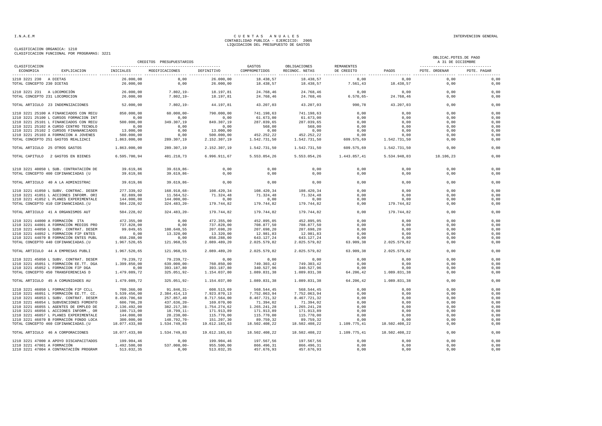CLASIFICACION ORGANICA: 1210

#### CLASIFICACION FUNCIONAL POR PROGRAMAS: 3221

| CLASIFICACION<br>GASTOS<br>OBLIGACIONES<br>REMANENTES<br>ECONOMICA<br>EXPLICACION<br><b>INICIALES</b><br>MODIFICACIONES<br>DEFINITIVO<br>COMPROMETIDOS<br>RECONOC. NETAS<br>DE CREDITO | PAGOS<br>0,00 | ----------------------------------<br>PDTE. ORDENAR |             |
|----------------------------------------------------------------------------------------------------------------------------------------------------------------------------------------|---------------|-----------------------------------------------------|-------------|
|                                                                                                                                                                                        |               |                                                     | PDTE. PAGAR |
| 0,00<br>26.000,00<br>18.438,57<br>0,00<br>1210 3221 230 A DIETAS<br>26.000,00<br>18.438,57                                                                                             |               | 0,00                                                | 0,00        |
| TOTAL CONCEPTO 230 DIETAS<br>26.000,00<br>0,00<br>26.000,00<br>18.438,57<br>18.438,57<br>7.561,43                                                                                      | 18.438,57     | 0.00                                                | 0,00        |
| $7.802, 19-$<br>18.197,81<br>1210 3221 231 A LOCOMOCIÓN<br>26.000,00<br>24.768,46<br>24.768,46<br>0,00                                                                                 | 0,00          | 0,00                                                | 0,00        |
| TOTAL CONCEPTO 231 LOCOMOCION<br>26.000,00<br>$7.802, 19-$<br>18.197,81<br>24.768,46<br>24.768,46<br>$6.570, 65 -$                                                                     | 24.768,46     | 0,00                                                | 0,00        |
| TOTAL ARTICULO 23 INDEMNIZACIONES<br>52.000,00<br>$7.802, 19-$<br>44.197,81<br>43.207,03<br>43.207,03<br>990,78                                                                        | 43.207,03     | 0,00                                                | 0,00        |
| 1210 3221 25100 A FINANCIADOS CON RECU<br>850,000,00<br>$60.000,00 -$<br>790,000,00<br>741.198,63<br>741.198,63<br>0,00                                                                | 0,00          | 0,00                                                | 0,00        |
| 1210 3221 25100 L CURSOS FORMACION INT<br>0,00<br>61.673,00<br>61.673,00<br>0,00<br>0,00<br>0,00                                                                                       | 0,00          | 0,00                                                | 0,00        |
| 1210 3221 25101 L FINANCIADOS CON RECU<br>500.000,00<br>349.307,19<br>849.307,19<br>287.039,65<br>287.039,65<br>0,00                                                                   | 0,00          | 0,00                                                | 0,00        |
| 1210 3221 25102 A CURSO CENTRO TECNOLO<br>568,00<br>568,00<br>0,00<br>0,00<br>0,00<br>0,00                                                                                             | 0,00          | 0,00                                                | 0,00        |
| 1210 3221 25102 I CURSOS FINANANCIADOS<br>13.000,00<br>0,00<br>13.000,00<br>0,00<br>0,00<br>0,00                                                                                       | 0,00          | 0,00                                                | 0,00        |
| 452.252,22<br>1210 3221 25103 A FORMACION A JOVENES<br>500.000,00<br>0,00<br>500.000,00<br>452.252,22<br>0,00                                                                          | 0,00          | 0,00                                                | 0,00        |
| TOTAL CONCEPTO 251 GASTOS REALIZACI<br>1.863.000,00<br>289.307,19<br>2.152.307,19<br>1.542.731,50<br>1.542.731,50<br>609.575,69                                                        | 1.542.731,50  | 0,00                                                | 0,00        |
| 1.542.731,50<br>TOTAL ARTICULO 25 OTROS GASTOS<br>1.863.000,00<br>289.307,19<br>2.152.307,19<br>1.542.731,50<br>609.575,69                                                             | 1.542.731,50  | 0,00                                                | 0,00        |
| 6.595.700,94<br>401.210,73<br>6.996.911,67<br>5.553.054,26<br>5.553.054,26<br>1.443.857,41<br>TOTAL CAPITULO 2 GASTOS EN BIENES                                                        | 5.534.948,03  | 18.106,23                                           | 0,00        |
|                                                                                                                                                                                        |               |                                                     |             |
| 1210 3221 40050 L SUB. CONTRATACIÓN DE<br>39.619,86<br>39.619,86-<br>0,00<br>0,00<br>0,00<br>0,00                                                                                      | 0,00          | 0,00                                                | 0,00        |
| TOTAL CONCEPTO 400 COFINANCIADAS (U<br>39.619,86<br>$39.619,86 -$<br>0,00<br>0,00<br>0,00<br>0,00                                                                                      | 0,00          | 0,00                                                | 0,00        |
| 39.619,86<br>$39.619,86 -$<br>0,00<br>0,00<br>0,00<br>0,00<br>TOTAL ARTICULO 40 A LA ADMINISTRAC                                                                                       | 0,00          | 0,00                                                | 0,00        |
| 1210 3221 41050 L SUBV. CONTRAC. DESEM<br>277.339,02<br>168.918,68-<br>108.420,34<br>108.420,34<br>108.420,34<br>0,00                                                                  | 0,00          | 0,00                                                | 0,00        |
| 1210 3221 41051 L ACCIONES INFORM. ORI<br>82.889,00<br>11.564,52-<br>71.324,48<br>71.324,48<br>71.324,48<br>0,00                                                                       | 0.00          | 0.00                                                | 0,00        |
| 144.000,00<br>1210 3221 41052 L PLANES EXPERIMENTALE<br>144.000,00-<br>0,00<br>0,00<br>0,00<br>0,00                                                                                    | 0,00          | 0,00                                                | 0,00        |
| TOTAL CONCEPTO 410 COFINANCIADAS. (U<br>504.228,02<br>324.483,20-<br>179.744,82<br>179.744,82<br>179.744,82<br>0,00                                                                    | 179.744,82    | 0,00                                                | 0,00        |
| TOTAL ARTICULO 41 A ORGANISMOS AUT<br>504.228,02<br>179.744,82<br>179.744,82<br>0,00<br>324.483,20-<br>179.744,82                                                                      | 179.744,82    | 0,00                                                | 0,00        |
| 1210 3221 44000 A FORMACIÓN ITA<br>472.355,00<br>0,00<br>472.355,00<br>452.895,05<br>452.895,05<br>0,00                                                                                | 0,00          | 0,00                                                | 0,00        |
| 1210 3221 44001 A FORMACIÓN MEDIOS PRO<br>737.828,00<br>737.828,00<br>708.877,50<br>708.877,50<br>0,00<br>0,00                                                                         | 0,00          | 0,00                                                | 0,00        |
| 99.049,65<br>1210 3221 44050 L SUBV. CONTRAT. DESEM<br>108.648,55<br>207.698,20<br>207.698,20<br>207.698,20<br>0,00                                                                    | 0,00          | 0,00                                                | 0,00        |
| 1210 3221 44052 L FORMACION FIP ENTES<br>0,00<br>13.320,00<br>13.320,00<br>12.981,83<br>12.981,83<br>0,00                                                                              | 0,00          | 0,00                                                | 0,00        |
| 1210 3221 44070 B FORMACIÓN ENTES PUBL<br>658.288,00<br>658.288,00<br>0,00<br>643.127,24<br>643.127,24<br>0,00                                                                         | 0,00          | 0,00                                                | 0,00        |
| TOTAL CONCEPTO 440 COFINANCIADAS. (U<br>1.967.520,65<br>121.968,55<br>2.089.489,20<br>2.025.579,82<br>2.025.579,82<br>63.909,38                                                        | 2.025.579,82  | 0,00                                                | 0,00        |
| 1.967.520,65<br>121.968,55<br>2.089.489,20<br>2.025.579,82<br>2.025.579,82<br>63.909,38<br>TOTAL ARTICULO 44 A EMPRESAS PUBLI                                                          | 2.025.579,82  | 0,00                                                | 0,00        |
|                                                                                                                                                                                        |               |                                                     |             |
| 1210 3221 45050 L SUBV. CONTRAT. DESEM<br>79.239.72<br>79.239.72-<br>0.00<br>0,00<br>0,00<br>0.00                                                                                      | 0,00          | 0.00                                                | 0,00        |
| 1.399.850,00<br>760.850,00<br>749.303,42<br>749.303,42<br>1210 3221 45051 L FORMACIÓN EE.TT. DGA<br>$639.000,00 -$<br>0,00                                                             | 0,00          | 0,00                                                | 0,00        |
| 1210 3221 45052 L FORMACION FIP DGA<br>393.187,80<br>340.527,96<br>0,00<br>393.187,80<br>340.527,96<br>0,00                                                                            | 0,00          | 0,00                                                | 0,00        |
| TOTAL CONCEPTO 450 TRANSFERENCIAS D<br>325.051,92-<br>1.154.037,80<br>1.089.831,38<br>1.089.831,38<br>1.479.089,72<br>64.206,42                                                        | 1.089.831,38  | 0,00                                                | 0,00        |
| 1.479.089,72<br>325.051,92-<br>1.154.037,80<br>1.089.831,38<br>1.089.831,38<br>64.206,42<br>TOTAL ARTICULO 45 A COMUNIDADES AU                                                         | 1.089.831,38  | 0,00                                                | 0,00        |
| 1210 3221 46050 L FORMACIÓN FIP CCLL<br>700.360,00<br>$91.846, 31 -$<br>608.513,69<br>568.544,45<br>568.544,45<br>0,00                                                                 | 0,00          | 0,00                                                | 0,00        |
| 1210 3221 46051 L FORMACIÓN EE.TT. CC.<br>7.923.870,13<br>7.752.063,94<br>5.539.456,00<br>2.384.414,13<br>7.752.063,94<br>0,00                                                         | 0,00          | 0,00                                                | 0,00        |
| 1210 3221 46053 L SUBV. CONTRAT. DESEM<br>8.459.706,60<br>257.857,40<br>8.717.564,00<br>8.467.721,32<br>8.467.721,32<br>0,00                                                           | 0,00          | 0,00                                                | 0,00        |
| 1210 3221 46054 L SUBVENCIONES FOMENTO<br>606.706,20<br>437.636,20-<br>169.070,00<br>71.394,02<br>71.394,02<br>0,00                                                                    | 0,00          | 0,00                                                | 0,00        |
| 2.136.492,00<br>382.217,38-<br>1.754.274,62<br>0,00<br>1210 3221 46055 L AGENTES DE EMPLEO DE<br>1.265.241,28<br>1.265.241,28                                                          | 0,00          | 0,00                                                | 0,00        |
| 1210 3221 46056 L ACCIONES INFORM., OR<br>190.713,00<br>18.799,11-<br>171.913,89<br>171.913,89<br>171.913,89<br>0,00                                                                   | 0,00          | 0,00                                                | 0,00        |
| 1210 3221 46057 L PLANES EXPERIMENTALE<br>144.000,00<br>28.230,00-<br>115.770,00<br>115.770,00<br>115.770,00<br>0,00                                                                   | 0,00          | 0,00                                                | 0,00        |
| 1210 3221 46070 B FORMACIÓN FONDO LOCA<br>300.000,00<br>148.792,70-<br>151.207,30<br>89.759,32<br>89.759,32<br>0,00                                                                    | 0,00          | 0,00                                                | 0,00        |
| 18.077.433,80<br>19.612.183,63<br>TOTAL CONCEPTO 460 COFINANCIADAS. (U<br>1.534.749,83<br>18.502.408,22<br>18.502.408,22<br>1.109.775,41                                               | 18.502.408,22 | 0,00                                                | 0,00        |
| 18.077.433,80<br>1.534.749,83<br>19.612.183,63<br>18.502.408,22<br>18.502.408,22<br>1.109.775,41<br>TOTAL ARTICULO 46 A CORPORACIONES                                                  | 18.502.408,22 | 0,00                                                | 0,00        |
| 199.904,46<br>197.567.56<br>197.567,56<br>0.00<br>1210 3221 47000 A APOYO DISCAPACITADOS<br>199.904,46<br>0,00                                                                         | 0,00          | 0.00                                                | 0,00        |
| 1210 3221 47001 A FORMACIÓN<br>1.492.500,00<br>$537.000,00-$<br>955.500,00<br>866.496,31<br>866.496,31<br>0,00                                                                         | 0,00          | 0,00                                                | 0,00        |
| 1210 3221 47004 A CONTRATACIÓN PROGRAM<br>513.032,35<br>0,00<br>513.032,35<br>457.676,93<br>457.676,93<br>0,00                                                                         | 0,00          | 0,00                                                | 0,00        |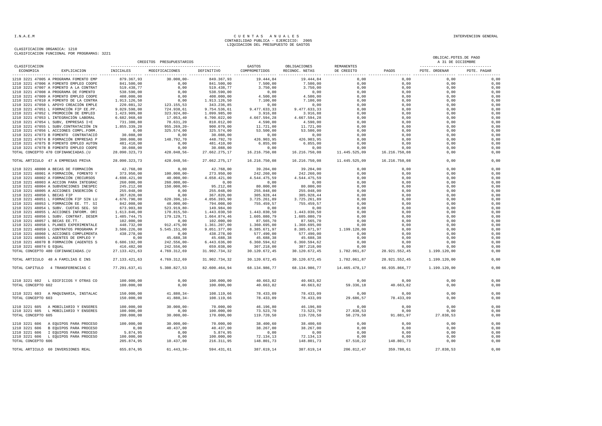|                                | CLASIFICACION FUNCIONAL FOR FROGRAMAS: 3441 |                                        | CREDITOS PRESUPUESTARIOS                                               |                            |                         |                                |                          |                                                                                      | OBLICAC. PDTES. DE PAGO<br>A 31 DE DICIEMBRE                                                                              |             |
|--------------------------------|---------------------------------------------|----------------------------------------|------------------------------------------------------------------------|----------------------------|-------------------------|--------------------------------|--------------------------|--------------------------------------------------------------------------------------|---------------------------------------------------------------------------------------------------------------------------|-------------|
| CLASIFICACION<br>ECONOMICA     | EXPLICACION                                 | INICIALES                              | MODIFICACIONES                                                         | DEFINITIVO                 | GASTOS<br>COMPROMETIDOS | OBLIGACIONES<br>RECONOC. NETAS | REMANENTES<br>DE CREDITO | PAGOS                                                                                | PDTE. ORDENAR                                                                                                             | PDTE. PAGAR |
|                                | 1210 3221 47005 A PROGRAMA FOMENTO EMP      | 879.367,93                             | $30.000,00-$                                                           | 849.367,93                 | 19.444,84               | 19.444,84                      |                          |                                                                                      | 0,00                                                                                                                      | 0,00        |
|                                | 1210 3221 47006 A FOMENTO EMPLEO COOPE      |                                        | 0,00                                                                   | 841,500,00                 | 7.500.00                | 7.500.00                       |                          |                                                                                      | 0.00                                                                                                                      | 0,00        |
|                                | 1210 3221 47007 A FOMENTO A LA CONTRAT      | 841.500,00<br>519.438,77<br>538.590,00 | $0,00$<br>0,00<br>0,00<br>0,00                                         | 519.438,77                 | 3.750,00                | 3.750,00                       |                          |                                                                                      | 0,00                                                                                                                      | 0,00        |
|                                | 1210 3221 47008 A PROGRAMA DE FOMENTO       |                                        |                                                                        | 538.590,00                 | 0,00                    | 0,00                           |                          |                                                                                      | 0,00                                                                                                                      | 0,00        |
|                                | 1210 3221 47009 A FOMENTO EMPLEO COOPE      | 408.000,00                             |                                                                        | 408.000,00                 | 4.500,00                | 4.500,00                       |                          |                                                                                      | 0,00                                                                                                                      | 0,00        |
|                                | 1210 3221 47010 A FOMENTO DE LA CONTRA      | 1.913.126, 50                          | $0,00$<br>$123.155,53$<br>$724.938,61$<br>$323.924,80-$<br>$17.052,40$ | 1.913.126,50               | 7.100,00                | 7.100,00                       |                          | $0,000$<br>$0,000$<br>$0,000$<br>$0,000$<br>$0,000$<br>$0,000$<br>$0,000$<br>$0,000$ | 0,00                                                                                                                      | 0,00        |
|                                | 1210 3221 47050 L APOYO CREACIÓN EMPLE      | 220.081,32<br>9.029.598,00             |                                                                        | 343.236,85<br>9.754.536,61 | 0,00                    | 0,00                           |                          |                                                                                      | 0,00                                                                                                                      | 0,00        |
|                                | 1210 3221 47051 L FORMACIÓN FIP EE.PP.      |                                        |                                                                        |                            | 9.477.633,33            | 9.477.633,33                   |                          |                                                                                      | 0,00                                                                                                                      | 0,00        |
|                                | 1210 3221 47052 L PROMOCIÓN DE EMPLEO       | 1.423.909,80                           |                                                                        | 1.099.985,00               | 3.916,88                | 3.916,88                       |                          |                                                                                      | 0,00                                                                                                                      | 0,00        |
|                                | 1210 3221 47053 L INTEGRACIÓN LABORAL       | 6.682.968,60                           | 17.053,40                                                              | 6.700.022,00               | 4.667.594,28            | 4.667.594,28                   |                          |                                                                                      | 0,00                                                                                                                      | 0,00        |
|                                | 1210 3221 47054 L SUBV, EMPRESAS I+E        | 731.380,80                             | 78.631,20                                                              | 810.012,00                 | 4.590,00                | 4.590,00                       |                          |                                                                                      | 0,00                                                                                                                      | 0,00        |
|                                | 1210 3221 47055 L SUBV.CONTRATACIÓN IN      | 1.855.339,20                           | $955.269, 20 -$                                                        | 900.070,00                 | 11.721,00               | 11.721,00                      |                          |                                                                                      | 0,00                                                                                                                      | 0,00        |
|                                | 1210 3221 47056 L ACCIONES COMPL.FORM.      | 0,00                                   | 325.574,00                                                             | 325.574,00                 | 53.500,00               | 53.500,00                      |                          |                                                                                      | 0,00                                                                                                                      | 0,00        |
|                                | 1210 3221 47073 B FOMENTO CONTRATACIÓ       | 30.088,00                              | 0,00                                                                   | 30.088,00                  | 0,00                    | 0,00                           |                          |                                                                                      | 0,00                                                                                                                      | 0,00        |
|                                | 1210 3221 47074 B FORMACIÓN EMPRESAS P      | 300.000,00                             | 148.792,70                                                             | 448.792,70                 | 426.903,95              | 426.903,95                     |                          |                                                                                      | 0,00                                                                                                                      | 0,00        |
|                                | 1210 3221 47075 B FOMENTO EMPLEO AUTON      | 481.410,00                             | $\begin{smallmatrix}0&,0&0\\ .&.&0\end{smallmatrix}$                   | 481.410,00                 | 6.855,00                | 6.855,00                       | 0,00                     | 0,00                                                                                 | 0,00                                                                                                                      | 0,00        |
|                                | 1210 3221 47078 B FOMENTO EMPLEO COOPE      | 30.088,00                              | 0,00                                                                   | 30.088,00                  | 0,00                    | 0,00                           | 0,00                     | 0,00                                                                                 | 0,00                                                                                                                      | 0,00        |
|                                | TOTAL CONCEPTO 470 COFINANCIADAS. (U        | 28.090.323,73                          | 428.048,56-                                                            | 27.662.275,17              | 16.216.750,08           | 16.216.750,08 11.445.525,09    |                          | 16.216.750,08                                                                        | 0,00                                                                                                                      | 0,00        |
|                                | TOTAL ARTICULO 47 A EMPRESAS PRIVA          | 28.090.323,73                          | 428.048,56-                                                            | 27.662.275,17              | 16.216.750,08           | 16.216.750,08                  | 11.445.525,09            | 16.216.750,08                                                                        | 0.00                                                                                                                      | 0,00        |
|                                | 1210 3221 48000 A BECAS DE FORMACIÓN        | 42.768,00                              | 0,00                                                                   | 42.768,00                  | 39.204,00               | 39.204,00                      |                          |                                                                                      | 0,00                                                                                                                      | 0,00        |
|                                | 1210 3221 48001 A FORMACIÓN, FOMENTO Y      | 373.950,00                             | $100.000,00 -$                                                         | 273.950,00                 | 242.260,00              | 242.260,00                     |                          |                                                                                      | 0,00                                                                                                                      | 0,00        |
|                                | 1210 3221 48002 A FORMACIÓN (RECURSOS       | 4.698.421,00                           | $40.000.00 -$                                                          | 4.658.421.00               | 4.544.475.59            | 4.544.475,59                   |                          |                                                                                      | 0,00                                                                                                                      | 0,00        |
|                                | 1210 3221 48003 A ACCION PARA INTEGRAC      |                                        | $260.000,00 -$                                                         | 0,00                       | 0,00                    | 0,00                           |                          |                                                                                      | 0,00                                                                                                                      | 0,00        |
|                                | 1210 3221 48004 A SUBVENCIONES INESPEC      | 260.000,00<br>245.212,08               | $150.000,00 -$                                                         | 95.212,08                  | 80.000,00               | 80.000,00                      |                          |                                                                                      | 0,00                                                                                                                      | 0,00        |
|                                | 1210 3221 48005 A ACCIONES INSERCIÓN C      | 255.048,00                             | 0,00                                                                   | 255.048,00                 | 255.048,00              | 255.048,00                     |                          |                                                                                      | 0,00                                                                                                                      | 0,00        |
| 1210 3221 48050 L BECAS FIP    |                                             | 367.820,00                             | 0,00                                                                   | 367.820,00                 | 305.928,44              | 305.928,44                     |                          |                                                                                      | 0,00                                                                                                                      | 0,00        |
|                                | 1210 3221 48051 L FORMACIÓN FIP SIN LU      | 4.676.790,00                           | 620.396,10-                                                            | 4.056.393,90               | 3.725.261,89            | 3.725.261,89                   |                          |                                                                                      | 0,00                                                                                                                      | 0,00        |
|                                | 1210 3221 48053 L FORMACIÓN EE. TT. SI      | 842.008,00                             | 48.000,00-                                                             | 794.008,00                 | 755.459,57              | 755.459,57                     |                          |                                                                                      | 0,00                                                                                                                      | 0,00        |
|                                | 1210 3221 48054 L SUBV. CUOTAS SEG. SO      | 673.903,80                             | 523.919,80-                                                            | 149.984,00                 | 0,00                    | 0,00                           |                          |                                                                                      | 0,00                                                                                                                      | 0,00        |
|                                | 1210 3221 48055 L ACCIONES INFORM. ORI      | 1.613.846,00                           | 170.815,50-                                                            | 1.443.030,50               | 1.443.030,50            | 1.443.030,50                   |                          |                                                                                      | 0,00                                                                                                                      | 0,00        |
|                                | 1210 3221 48056 L SUBV. CONTRAT. DESEM      | 1.485.744,75                           | 179.129,71                                                             | 1.664.874,46               | 1.605.080,79            | 1.605.080,79                   |                          |                                                                                      | 0,00                                                                                                                      | 0,00        |
| 1210 3221 48057 L BECAS EE.TT. |                                             | 102.000,00                             | 0,00                                                                   | 102.000,00                 | 87.565,70               | 87.565,70                      |                          |                                                                                      | 0,00                                                                                                                      | 0,00        |
|                                | 1210 3221 48058 L PLANES EXPERIMENTALE      | 448.732,00                             | 912.475,00                                                             | 1.361.207,00               | 1.360.695,00            | 1.360.695,00                   |                          |                                                                                      | 0,00                                                                                                                      | 0,00        |
|                                | 1210 3221 48059 L CONTRATOS PROGRAMA P      | 3.506.226,00                           | 5.545.151,00                                                           | 9.051.377,00               | 8.385.671,97            | 8.385.671,97    1.199.120,00   |                          |                                                                                      | 0,00                                                                                                                      | 0,00        |
|                                | 1210 3221 48060 L ACCIONES COMPLEMENTA      | 438.278,00                             | 0,00                                                                   | 438.278,00                 | 577.490,00              | 577.490,00                     |                          |                                                                                      | 0,00                                                                                                                      | 0,00        |
|                                | 1210 3221 48065 L AGENTES DE EMPLEO Y       | 0,00                                   | 45.688,38                                                              | 45.688,38                  | 45.688,38               | 45.688,38                      | 0,00                     | 0,00                                                                                 | 0,00                                                                                                                      | 0,00        |
|                                | 1210 3221 48070 B FORMACIÓN (AGENTES S      | 6.686.192,00                           | 242.556,00-                                                            | 6.443.636,00               | 6.360.594,62            | 6.360.594,62                   | 0,00                     | 0,00                                                                                 | 0,00                                                                                                                      | 0,00        |
| 1210 3221 48074 G EQUAL        |                                             | 416.482,00                             | 242.556,00                                                             | 659.038,00                 | 307.218,00              | 307.218,00                     | 0,00                     | 0,00                                                                                 | 0,00                                                                                                                      | 0,00        |
|                                |                                             | 416.482,00<br>27.133.421,63            |                                                                        |                            |                         |                                |                          | 28.921.552,45                                                                        |                                                                                                                           |             |
|                                | TOTAL CONCEPTO 480 COFINANCIADAS. (U        |                                        | 4.769.312,69                                                           | 31.902.734,32              | 30.120.672,45           | 30.120.672,45                  | 1.782.061,87             |                                                                                      | 1.199.120,00                                                                                                              | 0,00        |
|                                | TOTAL ARTICULO 48 A FAMILIAS E INS          | 27.133.421,63                          | 4.769.312.69                                                           | 31.902.734,32              | 30.120.672.45           | 30.120.672,45                  | 1.782.061.87             | 28.921.552,45                                                                        | 1,199,120,00                                                                                                              | 0,00        |
|                                | TOTAL CAPITULO 4 TRANSFERENCIAS C           | 77.291.637,41                          | 5.308.827,53                                                           | 82.600.464,94              | 68.134.986,77           | 68.134.986,77                  | 14.465.478,17            | 66.935.866,77                                                                        | 1.199.120,00                                                                                                              | 0,00        |
|                                | 1210 3221 602 L EDIFICIOS Y OTRAS CO        | 100.000,00                             | 0,00                                                                   | 100.000,00                 | 40.663,82               | 40.663,82                      | 0,00                     | 0,00                                                                                 | 0,00                                                                                                                      | 0,00        |
| TOTAL CONCEPTO 602             |                                             | 100.000,00                             | 0,00                                                                   | 100.000,00                 | 40.663,82               | 40.663,82                      | 59.336,18                | 40.663,82                                                                            | 0,00                                                                                                                      | 0,00        |
|                                | 1210 3221 603 A MAQUINARIA, INSTALAC        | 150.000,00                             | $41.880, 34-$<br>$41.880, 34-$                                         | 108.119,66                 | 78.433,09               | 78.433,09                      | 0,00                     | 0,00                                                                                 | 0,00                                                                                                                      | 0,00        |
| TOTAL CONCEPTO 603             |                                             | 150.000,00                             | 41.880,34-                                                             | 108.119,66                 | 78.433,09               | 78.433,09                      | 29.686,57                | 78.433,09                                                                            | 0,00                                                                                                                      | 0,00        |
|                                | 1210 3221 605 A MOBILIARIO Y ENSERES        | 100.000,00                             | $30.000,00-$                                                           | 70.000,00                  | 46.196,80               | 46.196,80                      | 0,00                     |                                                                                      | $\begin{array}{cccc} & 0\, , 00 & & 0\, , 00 \\ & 0\, , 00 & & 0\, , 00 \\ & 91.881\, , 97 & & 27.838\, , 53 \end{array}$ | 0,00        |
|                                | 1210 3221 605 L MOBILIARIO Y ENSERES        | 100.000,00                             | 0,00                                                                   | 100.000,00                 | 73.523,70               | 73.523,70                      | 27.838,53                |                                                                                      |                                                                                                                           | 0,00        |
| TOTAL CONCEPTO 605             |                                             | 200.000,00                             | $30.000,00-$                                                           | 170.000,00                 | 119.720,50              | 119.720,50                     | 50.279,50                |                                                                                      |                                                                                                                           | 0,00        |
|                                | 1210 3221 606 A EQUIPOS PARA PROCESO        | 100.000,00                             | $30.000,00 -$                                                          | 70.000,00                  | 38.400,60               | 38.400,60                      | 0,00                     | 0,00                                                                                 | 0,00                                                                                                                      | 0,00        |
|                                | 1210 3221 606 B EQUIPOS PARA PROCESO        | 0,00                                   | 40.437,00                                                              | 40.437,00                  | 38.267,00               | 38.267,00                      | 0,00                     | 0,00                                                                                 | 0,00                                                                                                                      | 0,00        |
|                                | 1210 3221 606 I EQUIPOS PARA PROCESO        | 5.874,95                               | 0,00                                                                   | 5.874,95                   | 0,00                    | 0,00                           | 0,00                     | 0,00                                                                                 | 0,00                                                                                                                      | 0,00        |
|                                | 1210 3221 606 L EQUIPOS PARA PROCESO        | $100.000, 00$<br>$200.000, 00$         | 0,00                                                                   | 100.000,00                 | 72.134,13               | 72.134,13                      | 0,00                     | 0,00<br>0,00<br>148.801,73                                                           | 0,00                                                                                                                      | 0,00        |
| TOTAL CONCEPTO 606             |                                             | 205.874,95                             | 10.437,00                                                              | 216.311,95                 | 148.801,73              | 148.801,73                     | 67.510,22                |                                                                                      | 0.00                                                                                                                      | 0,00        |
|                                | TOTAL ARTICULO 60 INVERSIONES REAL          | 655.874,95                             | $61.443, 34-$                                                          | 594.431,61                 | 387.619,14              | 387.619,14                     | 206.812,47               | 359.780,61                                                                           | 27.838,53                                                                                                                 | 0,00        |
|                                |                                             |                                        |                                                                        |                            |                         |                                |                          |                                                                                      |                                                                                                                           |             |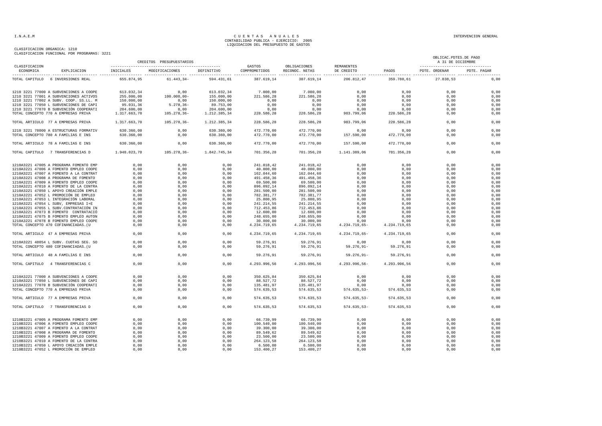|                            |                                        |              | CREDITOS PRESUPUESTARIOS |              |                         |                                |                          |              | OBLICAC. PDTES. DE PAGO<br>A 31 DE DICIEMBRE |             |
|----------------------------|----------------------------------------|--------------|--------------------------|--------------|-------------------------|--------------------------------|--------------------------|--------------|----------------------------------------------|-------------|
| CLASIFICACION<br>ECONOMICA | EXPLICACION                            | INICIALES    | MODIFICACIONES           | DEFINITIVO   | GASTOS<br>COMPROMETIDOS | OBLIGACIONES<br>RECONOC, NETAS | REMANENTES<br>DE CREDITO | PAGOS        | PDTE, ORDENAR                                | PDTE, PAGAR |
| TOTAL CAPITULO             | 6 INVERSIONES REAL                     | 655.874,95   | $61.443, 34-$            | 594.431,61   | 387.619,14              | 387.619,14                     | 206.812,47               | 359.780,61   | 27.838,53                                    | 0,00        |
|                            | 1210 3221 77000 A SUBVENCIONES A COOPE | 613.032,34   | 0,00                     | 613.032,34   | 7.000,00                | 7.000,00                       | 0,00                     | 0,00         | 0,00                                         | 0,00        |
|                            | 1210 3221 77001 A SUBVENCIONES ACTIVOS | 255.000,00   | $100.000.00-$            | 155.000,00   | 221.586.28              | 221.586,28                     | 0,00                     | 0,00         | 0.00                                         | 0,00        |
|                            | 1210 3221 77002 A SUBV. COOP. SS.LL. M | 150.000,00   | 0,00                     | 150.000,00   | 0,00                    | 0,00                           | 0,00                     | 0,00         | 0,00                                         | 0,00        |
|                            | 1210 3221 77050 L SUBVENCIONES DE CAPI | 95.031,36    | $5.278, 36 -$            | 89.753,00    | 0,00                    | 0,00                           | 0,00                     | 0,00         | 0,00                                         | 0,00        |
|                            | 1210 3221 77070 B SUBVENCIÓN COOPERATI | 204.600,00   | 0.00                     | 204.600,00   | 0.00                    | 0,00                           | 0.00                     | 0.00         | 0.00                                         | 0,00        |
|                            | TOTAL CONCEPTO 770 A EMPRESAS PRIVA    | 1.317.663,70 | $105.278, 36 -$          | 1.212.385,34 | 228.586,28              | 228.586,28                     | 983.799,06               | 228.586,28   | 0,00                                         | 0,00        |
|                            | TOTAL ARTICULO 77 A EMPRESAS PRIVA     | 1.317.663,70 | $105.278, 36 -$          | 1.212.385,34 | 228.586,28              | 228.586,28                     | 983.799.06               | 228.586,28   | 0.00                                         | 0,00        |
|                            | 1210 3221 78000 A ESTRUCTURAS FORMATIV | 630.360,00   | 0.00                     | 630.360,00   | 472.770,00              | 472.770.00                     | 0.00                     | 0,00         | 0.00                                         | 0.00        |
|                            | TOTAL CONCEPTO 780 A FAMILIAS E INS    | 630.360,00   | 0,00                     | 630.360,00   | 472.770,00              | 472.770,00                     | 157.590,00               | 472.770,00   | 0,00                                         | 0,00        |
|                            | TOTAL ARTICULO 78 A FAMILIAS E INS     | 630.360,00   | 0.00                     | 630.360,00   | 472.770,00              | 472.770,00                     | 157.590,00               | 472.770,00   | 0,00                                         | 0,00        |
| TOTAL CAPITULO             | 7 TRANSFERENCIAS D                     | 1.948.023,70 | 105.278,36-              | 1.842.745,34 | 701.356,28              | 701.356,28                     | 1.141.389,06             | 701.356,28   | 0.00                                         | 0,00        |
|                            |                                        |              |                          |              |                         |                                |                          |              |                                              |             |
|                            | 1210A3221 47005 A PROGRAMA FOMENTO EMP | 0,00         | 0,00                     | 0,00         | 241.018,42              | 241.018,42                     | 0,00                     | 0,00         | 0,00                                         | 0,00        |
|                            | 1210A3221 47006 A FOMENTO EMPLEO COOPE | 0,00         | 0,00                     | 0,00         | 40.000,00               | 40.000,00                      | 0,00                     | 0,00         | 0,00                                         | 0,00        |
|                            | 1210A3221 47007 A FOMENTO A LA CONTRAT | 0,00         | 0,00                     | 0,00         | 162.044,60              | 162.044,60                     | 0,00                     | 0,00         | 0,00                                         | 0,00        |
|                            | 1210A3221 47008 A PROGRAMA DE FOMENTO  | 0,00         | 0,00                     | 0,00         | 491.458,36              | 491.458,36                     | 0,00                     | 0,00         | 0,00                                         | 0,00        |
|                            | 1210A3221 47009 A FOMENTO EMPLEO COOPE | 0,00         | 0,00                     | 0,00         | 69.500,00               | 69.500,00                      | 0,00                     | 0,00         | 0,00                                         | 0,00        |
|                            | 1210A3221 47010 A FOMENTO DE LA CONTRA | 0,00         | 0,00                     | 0,00         | 896.092,14              | 896.092,14                     | 0,00                     | 0,00         | 0,00                                         | 0,00        |
|                            | 1210A3221 47050 L APOYO CREACIÓN EMPLE | 0,00         | 0,00                     | 0,00         | 281.500,00              | 281.500,00                     | 0,00                     | 0,00         | 0,00                                         | 0,00        |
|                            | 1210A3221 47052 L PROMOCIÓN DE EMPLEO  | 0,00         | 0,00                     | 0,00         | 782.381,77              | 782.381,77                     | 0,00                     | 0,00         | 0,00                                         | 0,00        |
|                            | 1210A3221 47053 L INTEGRACIÓN LABORAL  | 0,00         | 0,00                     | 0,00         | 25.800,95               | 25.800,95                      | 0,00                     | 0,00         | 0,00                                         | 0,00        |
|                            | 1210A3221 47054 L SUBV, EMPRESAS I+E   | 0,00         | 0,00                     | 0,00         | 241.214,55              | 241.214,55                     | 0,00                     | 0,00         | 0,00                                         | 0,00        |
|                            | 1210A3221 47055 L SUBV.CONTRATACIÓN IN | 0,00         | 0,00                     | 0,00         | 712.453,86              | 712.453,86                     | 0,00                     | 0,00         | 0,00                                         | 0,00        |
|                            | 1210A3221 47073 B FOMENTO CONTRATACIÓ  | 0.00         | 0.00                     | 0.00         | 12.600,00               | 12.600,00                      | 0.00                     | 0.00         | 0.00                                         | 0,00        |
|                            |                                        |              |                          |              |                         |                                |                          |              |                                              | 0,00        |
|                            | 1210A3221 47075 B FOMENTO EMPLEO AUTON | 0,00         | 0,00                     | 0,00         | 248.655,00              | 248.655,00                     | 0,00                     | 0,00         | 0,00                                         |             |
|                            | 1210A3221 47078 B FOMENTO EMPLEO COOPE | 0,00         | 0,00                     | 0,00         | 30.000,00               | 30.000,00                      | 0,00                     | 0,00         | 0,00                                         | 0,00        |
|                            | TOTAL CONCEPTO 470 COFINANCIADAS. (U   | 0,00         | 0,00                     | 0,00         | 4.234.719,65            | 4.234.719,65                   | 4.234.719,65-            | 4.234.719,65 | 0,00                                         | 0,00        |
|                            | TOTAL ARTICULO 47 A EMPRESAS PRIVA     | 0,00         | 0,00                     | 0,00         | 4.234.719,65            | 4.234.719,65                   | 4.234.719,65-            | 4.234.719,65 | 0,00                                         | 0,00        |
|                            | 1210A3221 48054 L SUBV. CUOTAS SEG. SO | 0,00         | 0,00                     | 0,00         | 59.276,91               | 59.276,91                      | 0,00                     | 0,00         | 0,00                                         | 0,00        |
|                            | TOTAL CONCEPTO 480 COFINANCIADAS. (U   | 0,00         | 0,00                     | 0,00         | 59.276,91               | 59.276,91                      | $59.276, 91 -$           | 59.276,91    | 0,00                                         | 0,00        |
|                            | TOTAL ARTICULO 48 A FAMILIAS E INS     | 0,00         | 0,00                     | 0,00         | 59.276,91               | 59.276,91                      | $59.276, 91 -$           | 59.276,91    | 0,00                                         | 0,00        |
|                            | TOTAL CAPITULO 4 TRANSFERENCIAS C      | 0,00         | 0,00                     | 0.00         | 4.293.996,56            | 4.293.996,56                   | 4.293.996,56-            | 4.293.996,56 | 0.00                                         | 0,00        |
|                            |                                        |              |                          |              |                         |                                |                          |              |                                              |             |
|                            | 1210A3221 77000 A SUBVENCIONES A COOPE | 0,00         | 0,00                     | 0,00         | 350.625,84              | 350.625,84                     | 0,00                     | 0,00         | 0,00                                         | 0,00        |
|                            | 1210A3221 77050 L SUBVENCIONES DE CAPI | 0,00         | 0,00                     | 0,00         | 88.527,72               | 88.527,72                      | 0,00                     | 0,00         | 0,00                                         | 0,00        |
|                            | 1210A3221 77070 B SUBVENCIÓN COOPERATI | 0.00         | 0.00                     | 0.00         | 135.481.97              | 135.481.97                     | 0.00                     | 0.00         | 0.00                                         | 0,00        |
|                            | TOTAL CONCEPTO 770 A EMPRESAS PRIVA    | 0,00         | 0,00                     | 0,00         | 574.635,53              | 574.635,53                     | $574.635,53-$            | 574.635,53   | 0,00                                         | 0,00        |
|                            | TOTAL ARTICULO 77 A EMPRESAS PRIVA     | 0.00         | 0.00                     | 0.00         | 574.635.53              | 574.635.53                     | $574.635.53 -$           | 574.635.53   | 0.00                                         | 0.00        |
|                            | TOTAL CAPITULO 7 TRANSFERENCIAS D      | 0,00         | 0,00                     | 0,00         | 574.635,53              | 574.635,53                     | $574.635,53-$            | 574.635,53   | 0,00                                         | 0,00        |
|                            |                                        |              |                          |              |                         |                                |                          |              |                                              |             |
|                            | 1210B3221 47005 A PROGRAMA FOMENTO EMP | 0.00         | 0.00                     | 0.00         | 66.739,99               | 66.739.99                      | 0.00                     | 0.00         | 0.00                                         | 0.00        |
|                            | 1210B3221 47006 A FOMENTO EMPLEO COOPE | 0,00         | 0,00                     | 0,00         | 100.540,00              | 100.540,00                     | 0,00                     | 0,00         | 0,00                                         | 0,00        |
|                            | 1210B3221 47007 A FOMENTO A LA CONTRAT | 0,00         | 0,00                     | 0,00         | 39.300,00               | 39.300,00                      | 0,00                     | 0,00         | 0,00                                         | 0,00        |
|                            | 1210B3221 47008 A PROGRAMA DE FOMENTO  | 0,00         | 0,00                     | 0,00         | 89.549,62               | 89.549,62                      | 0,00                     | 0,00         | 0,00                                         | 0,00        |
|                            | 1210B3221 47009 A FOMENTO EMPLEO COOPE | 0.00         | 0,00                     | 0.00         | 23.500,00               | 23.500,00                      | 0,00                     | 0.00         | 0.00                                         | 0,00        |
|                            | 1210B3221 47010 A FOMENTO DE LA CONTRA | 0,00         | 0,00                     | 0,00         | 264.123,58              | 264.123,58                     | 0,00                     | 0,00         | 0,00                                         | 0,00        |
|                            | 1210B3221 47050 L APOYO CREACIÓN EMPLE | 0,00         | 0,00                     | 0,00         | 6.500,00                | 6.500,00                       | 0,00                     | 0,00         | 0,00                                         | 0,00        |
|                            | 1210B3221 47052 L PROMOCIÓN DE EMPLEO  | 0.00         | 0,00                     | 0,00         | 153.400,27              | 153.400,27                     | 0,00                     | 0.00         | 0.00                                         | 0,00        |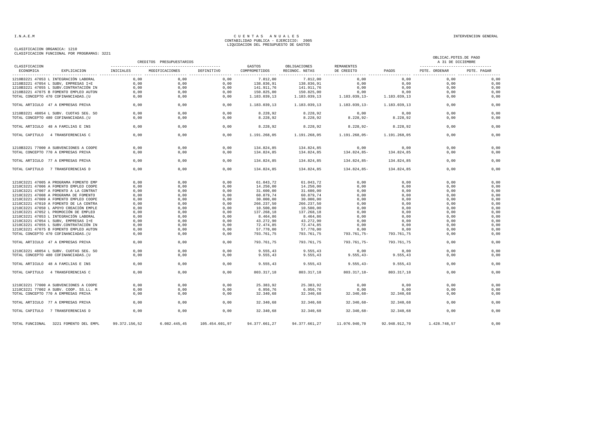|                            |                                        |               | CREDITOS PRESUPUESTARIOS |                |                         |                                |                            |               | OBLICAC. PDTES. DE PAGO<br>A 31 DE DICIEMBRE<br>---------------------------------- |             |
|----------------------------|----------------------------------------|---------------|--------------------------|----------------|-------------------------|--------------------------------|----------------------------|---------------|------------------------------------------------------------------------------------|-------------|
| CLASIFICACION<br>ECONOMICA | EXPLICACION                            | INICIALES     | MODIFICACIONES           | DEFINITIVO     | GASTOS<br>COMPROMETIDOS | OBLIGACIONES<br>RECONOC. NETAS | REMANENTES<br>DE CREDITO   | PAGOS         | PDTE. ORDENAR                                                                      | PDTE. PAGAR |
|                            | 1210B3221 47053 L INTEGRACIÓN LABORAL  | 0,00          | 0,00                     | 0,00           | 7.812,00                | 7.812,00                       | 0,00                       | 0,00          | 0.00                                                                               | 0,00        |
|                            | 1210B3221 47054 L SUBV, EMPRESAS I+E   | 0,00          | 0,00                     | 0,00           | 138.836,91              | 138.836,91                     | 0,00                       | 0,00          | 0,00                                                                               | 0,00        |
|                            | 1210B3221 47055 L SUBV.CONTRATACIÓN IN | 0,00          | 0,00                     | 0,00           | 141.911,76              | 141.911,76                     | 0,00                       | 0,00          | 0,00                                                                               | 0,00        |
|                            | 1210B3221 47075 B FOMENTO EMPLEO AUTON | 0,00          | 0,00                     | 0,00           | 150.825,00              | 150.825,00                     | 0,00                       | 0,00          | 0,00                                                                               | 0,00        |
|                            | TOTAL CONCEPTO 470 COFINANCIADAS. (U   | 0,00          | 0,00                     | 0,00           | 1.183.039,13            |                                | 1.183.039,13 1.183.039,13- | 1.183.039,13  | 0,00                                                                               | 0,00        |
|                            | TOTAL ARTICULO 47 A EMPRESAS PRIVA     | 0,00          | 0,00                     | 0,00           | 1.183.039,13            | 1.183.039,13                   | 1.183.039,13-              | 1.183.039,13  | 0,00                                                                               | 0,00        |
|                            | 1210B3221 48054 L SUBV. CUOTAS SEG. SO | 0,00          | 0.00                     | 0.00           | 8.228.92                | 8.228.92                       | 0,00                       | 0.00          | 0.00                                                                               | 0,00        |
|                            | TOTAL CONCEPTO 480 COFINANCIADAS. (U   | 0.00          | 0.00                     | 0.00           | 8.228,92                | 8.228,92                       | $8.228, 92 -$              | 8.228,92      | 0.00                                                                               | 0,00        |
|                            | TOTAL ARTICULO 48 A FAMILIAS E INS     | 0,00          | 0,00                     | 0,00           | 8.228,92                | 8.228,92                       | $8.228, 92 -$              | 8.228,92      | 0.00                                                                               | 0,00        |
|                            | TOTAL CAPITULO 4 TRANSFERENCIAS C      | 0,00          | 0.00                     | 0.00           | 1.191.268,05            | 1.191.268,05                   | 1.191.268,05-              | 1.191.268,05  | 0.00                                                                               | 0,00        |
|                            | 1210B3221 77000 A SUBVENCIONES A COOPE | 0,00          | 0,00                     | 0,00           | 134.824,85              | 134.824,85                     | 0,00                       | 0.00          | 0.00                                                                               | 0,00        |
|                            | TOTAL CONCEPTO 770 A EMPRESAS PRIVA    | 0,00          | 0,00                     | 0,00           | 134.824,85              | 134.824,85                     | 134.824,85-                | 134.824,85    | 0,00                                                                               | 0,00        |
|                            | TOTAL ARTICULO 77 A EMPRESAS PRIVA     | 0,00          | 0,00                     | 0,00           | 134.824,85              | 134.824,85                     | 134.824,85-                | 134.824,85    | 0,00                                                                               | 0,00        |
|                            | TOTAL CAPITULO 7 TRANSFERENCIAS D      | 0,00          | 0.00                     | 0,00           | 134.824,85              | 134.824,85                     | 134.824,85-                | 134.824,85    | 0.00                                                                               | 0,00        |
|                            | 1210C3221 47005 A PROGRAMA FOMENTO EMP | 0,00          | 0,00                     | 0,00           | 61.043,72               | 61.043,72                      | 0,00                       | 0,00          | 0,00                                                                               | 0,00        |
|                            | 1210C3221 47006 A FOMENTO EMPLEO COOPE | 0,00          | 0,00                     | 0,00           | 14.250,00               | 14.250,00                      | 0,00                       | 0,00          | 0,00                                                                               | 0,00        |
|                            | 1210C3221 47007 A FOMENTO A LA CONTRAT | 0,00          | 0,00                     | 0,00           | 31.600,00               | 31.600,00                      | 0,00                       | 0,00          | 0.00                                                                               | 0,00        |
|                            | 1210C3221 47008 A PROGRAMA DE FOMENTO  | 0,00          | 0,00                     | 0,00           | 60.879,74               | 60.879,74                      | 0,00                       | 0,00          | 0,00                                                                               | 0,00        |
|                            | 1210C3221 47009 A FOMENTO EMPLEO COOPE | 0,00          | 0,00                     | 0,00           | 30.000,00               | 30.000,00                      | 0,00                       | 0,00          | 0,00                                                                               | 0,00        |
|                            | 1210C3221 47010 A FOMENTO DE LA CONTRA | 0,00          | 0,00                     | 0,00           | 266.237,50              | 266.237,50                     | 0,00                       | 0,00          | 0,00                                                                               | 0,00        |
|                            | 1210C3221 47050 L APOYO CREACIÓN EMPLE | 0,00          | 0,00                     | 0,00           | 10.500,00               | 10.500,00                      | 0,00                       | 0,00          | 0,00                                                                               | 0,00        |
|                            | 1210C3221 47052 L PROMOCIÓN DE EMPLEO  | 0,00          | 0,00                     | 0,00           | 137.268,18              | 137.268,18                     | 0,00                       | 0,00          | 0,00                                                                               | 0,00        |
|                            | 1210C3221 47053 L INTEGRACIÓN LABORAL  | 0,00          | 0,00                     | 0,00           | 8.464,86                | 8.464,86                       | 0,00                       | 0,00          | 0,00                                                                               | 0,00        |
|                            | 1210C3221 47054 L SUBV, EMPRESAS I+E   | 0,00          | 0,00                     | 0,00           | 43.272,90               | 43.272,90                      | 0,00                       | 0,00          | 0,00                                                                               | 0,00        |
|                            | 1210C3221 47055 L SUBV.CONTRATACIÓN IN | 0,00          | 0,00                     | 0,00           | 72.474,85               | 72.474,85                      | 0,00                       | 0,00          | 0,00                                                                               | 0,00        |
|                            | 1210C3221 47075 B FOMENTO EMPLEO AUTON | 0,00          | 0,00                     | 0,00           | 57.770,00               | 57.770,00                      | 0,00                       | 0,00          | 0,00                                                                               | 0,00        |
|                            | TOTAL CONCEPTO 470 COFINANCIADAS. (U   | 0,00          | 0,00                     | 0,00           | 793.761,75              | 793.761,75                     | 793.761,75-                | 793.761,75    | 0,00                                                                               | 0,00        |
|                            | TOTAL ARTICULO 47 A EMPRESAS PRIVA     | 0,00          | 0,00                     | 0,00           | 793.761,75              | 793.761,75                     | 793.761,75-                | 793.761,75    | 0,00                                                                               | 0,00        |
|                            | 1210C3221 48054 L SUBV. CUOTAS SEG. SO | 0,00          | 0,00                     | 0,00           | 9.555,43                | 9.555,43                       | 0,00                       | 0,00          | 0,00                                                                               | 0,00        |
|                            | TOTAL CONCEPTO 480 COFINANCIADAS. (U   | 0,00          | 0,00                     | 0,00           | 9.555,43                | 9.555,43                       | $9.555, 43-$               | 9.555, 43     | 0,00                                                                               | 0,00        |
|                            | TOTAL ARTICULO 48 A FAMILIAS E INS     | 0.00          | 0.00                     | 0.00           | 9.555.43                | 9.555.43                       | $9.555.43-$                | 9.555.43      | 0.00                                                                               | 0,00        |
|                            | TOTAL CAPITULO 4 TRANSFERENCIAS C      | 0,00          | 0,00                     | 0,00           | 803.317,18              | 803.317,18                     | 803.317,18-                | 803.317,18    | 0,00                                                                               | 0,00        |
|                            | 1210C3221 77000 A SUBVENCIONES A COOPE | 0,00          | 0.00                     | 0.00           | 25.383,92               | 25.383,92                      | 0,00                       | 0,00          | 0.00                                                                               | 0,00        |
|                            | 1210C3221 77002 A SUBV. COOP. SS.LL. M | 0,00          | 0,00                     | 0,00           | 6.956,76                | 6.956,76                       | 0,00                       | 0,00          | 0,00                                                                               | 0,00        |
|                            | TOTAL CONCEPTO 770 A EMPRESAS PRIVA    | 0,00          | 0,00                     | 0,00           | 32.340,68               | 32.340,68                      | $32.340,68-$               | 32.340,68     | 0.00                                                                               | 0,00        |
|                            | TOTAL ARTICULO 77 A EMPRESAS PRIVA     | 0,00          | 0.00                     | 0.00           | 32.340,68               | 32.340,68                      | $32.340,68-$               | 32.340,68     | 0.00                                                                               | 0.00        |
|                            | TOTAL CAPITULO 7 TRANSFERENCIAS D      | 0.00          | 0,00                     | 0.00           | 32.340,68               | 32.340,68                      | 32.340,68-                 | 32.340,68     | 0.00                                                                               | 0,00        |
|                            | TOTAL FUNCIONAL 3221 FOMENTO DEL EMPL  | 99.372.156,52 | 6.082.445,45             | 105.454.601,97 | 94.377.661,27           | 94.377.661,27                  | 11.076.940,70              | 92.948.912,70 | 1.428.748,57                                                                       | 0,00        |